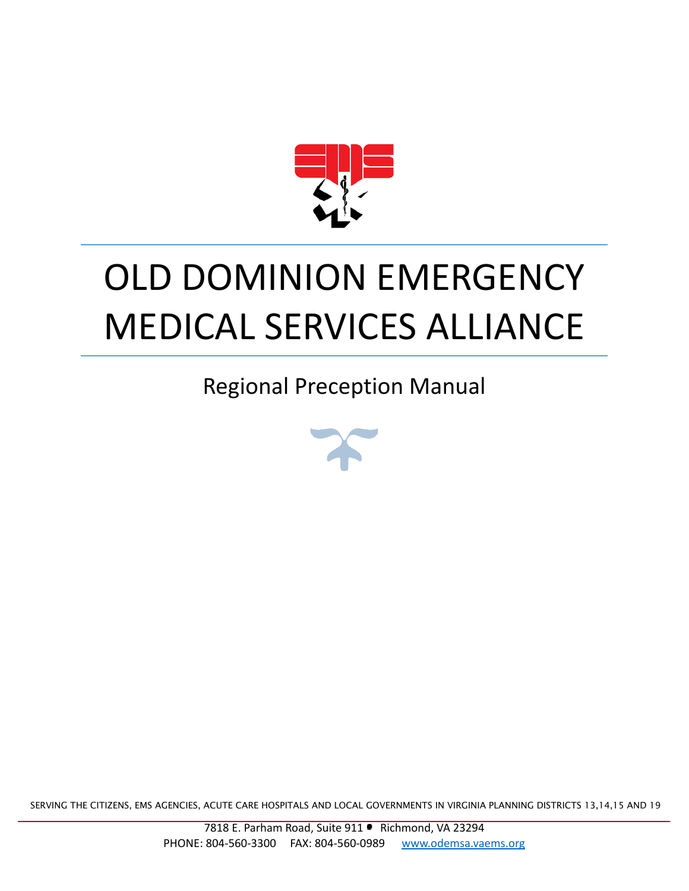

Regional Preception Manual

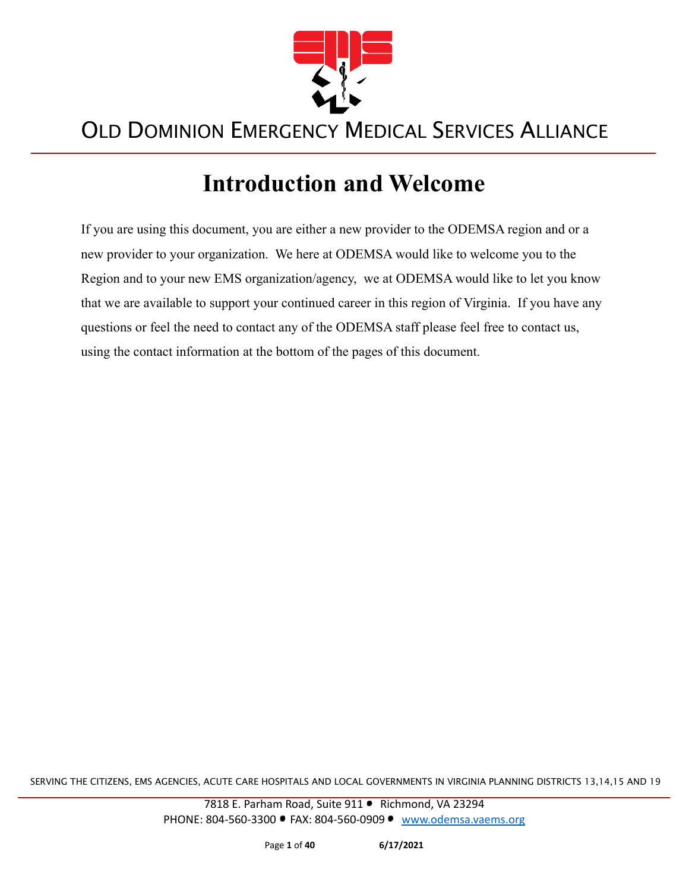

# **Introduction and Welcome**

If you are using this document, you are either a new provider to the ODEMSA region and or a new provider to your organization. We here at ODEMSA would like to welcome you to the Region and to your new EMS organization/agency, we at ODEMSA would like to let you know that we are available to support your continued career in this region of Virginia. If you have any questions or feel the need to contact any of the ODEMSA staff please feel free to contact us, using the contact information at the bottom of the pages of this document.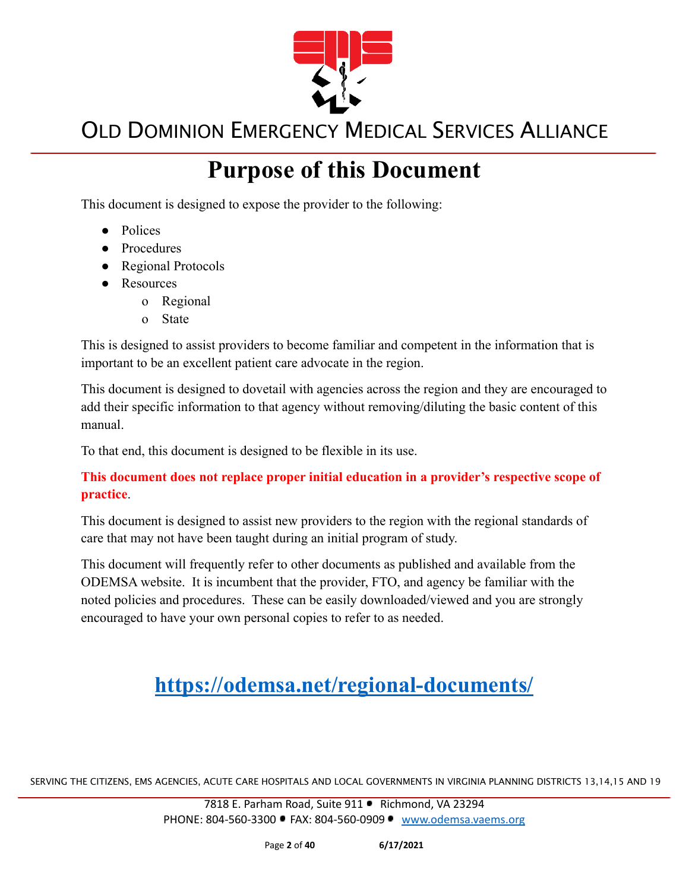

### **Purpose of this Document**

This document is designed to expose the provider to the following:

- Polices
- Procedures
- Regional Protocols
- Resources
	- o Regional
	- o State

This is designed to assist providers to become familiar and competent in the information that is important to be an excellent patient care advocate in the region.

This document is designed to dovetail with agencies across the region and they are encouraged to add their specific information to that agency without removing/diluting the basic content of this manual.

To that end, this document is designed to be flexible in its use.

**This document does not replace proper initial education in a provider's respective scope of practice**.

This document is designed to assist new providers to the region with the regional standards of care that may not have been taught during an initial program of study.

This document will frequently refer to other documents as published and available from the ODEMSA website. It is incumbent that the provider, FTO, and agency be familiar with the noted policies and procedures. These can be easily downloaded/viewed and you are strongly encouraged to have your own personal copies to refer to as needed.

#### **<https://odemsa.net/regional-documents/>**

SERVING THE CITIZENS, EMS AGENCIES, ACUTE CARE HOSPITALS AND LOCAL GOVERNMENTS IN VIRGINIA PLANNING DISTRICTS 13,14,15 AND 19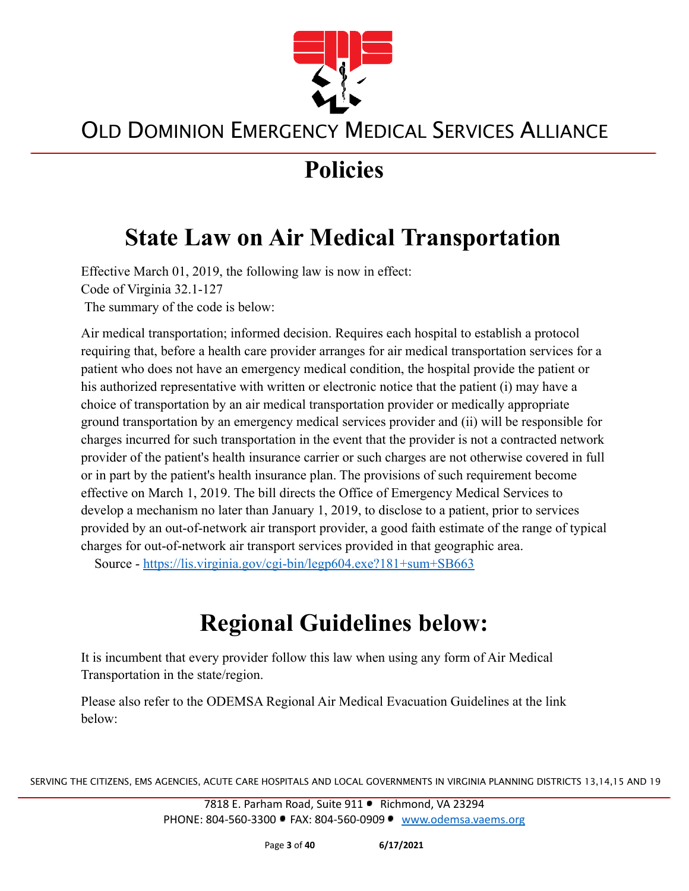

# **Policies**

# **State Law on Air Medical Transportation**

Effective March 01, 2019, the following law is now in effect: Code of Virginia 32.1-127 The summary of the code is below:

Air medical transportation; informed decision. Requires each hospital to establish a protocol requiring that, before a health care provider arranges for air medical transportation services for a patient who does not have an emergency medical condition, the hospital provide the patient or his authorized representative with written or electronic notice that the patient (i) may have a choice of transportation by an air medical transportation provider or medically appropriate ground transportation by an emergency medical services provider and (ii) will be responsible for charges incurred for such transportation in the event that the provider is not a contracted network provider of the patient's health insurance carrier or such charges are not otherwise covered in full or in part by the patient's health insurance plan. The provisions of such requirement become effective on March 1, 2019. The bill directs the Office of Emergency Medical Services to develop a mechanism no later than January 1, 2019, to disclose to a patient, prior to services provided by an out-of-network air transport provider, a good faith estimate of the range of typical charges for out-of-network air transport services provided in that geographic area.

Source - <https://lis.virginia.gov/cgi-bin/legp604.exe?181+sum+SB663>

# **Regional Guidelines below:**

It is incumbent that every provider follow this law when using any form of Air Medical Transportation in the state/region.

Please also refer to the ODEMSA Regional Air Medical Evacuation Guidelines at the link below:

SERVING THE CITIZENS, EMS AGENCIES, ACUTE CARE HOSPITALS AND LOCAL GOVERNMENTS IN VIRGINIA PLANNING DISTRICTS 13,14,15 AND 19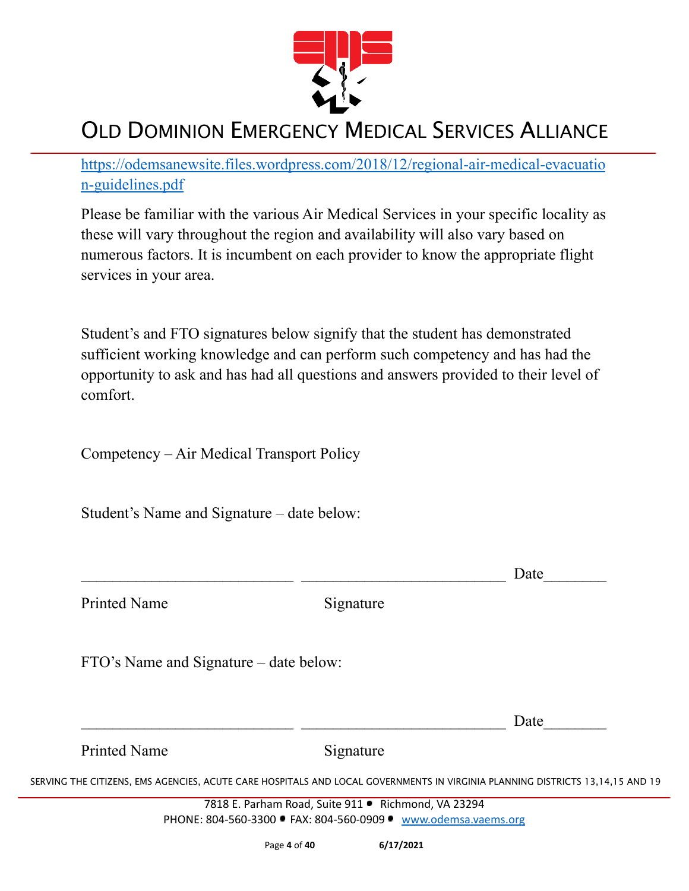

[https://odemsanewsite.files.wordpress.com/2018/12/regional-air-medical-evacuatio](https://odemsanewsite.files.wordpress.com/2018/12/regional-air-medical-evacuation-guidelines.pdf) [n-guidelines.pdf](https://odemsanewsite.files.wordpress.com/2018/12/regional-air-medical-evacuation-guidelines.pdf)

Please be familiar with the various Air Medical Services in your specific locality as these will vary throughout the region and availability will also vary based on numerous factors. It is incumbent on each provider to know the appropriate flight services in your area.

Student's and FTO signatures below signify that the student has demonstrated sufficient working knowledge and can perform such competency and has had the opportunity to ask and has had all questions and answers provided to their level of comfort.

Competency – Air Medical Transport Policy

Student's Name and Signature – date below:

|                                        |                                                                | Date                                                                                                                          |
|----------------------------------------|----------------------------------------------------------------|-------------------------------------------------------------------------------------------------------------------------------|
| <b>Printed Name</b>                    | Signature                                                      |                                                                                                                               |
| FTO's Name and Signature – date below: |                                                                |                                                                                                                               |
|                                        |                                                                | Date                                                                                                                          |
| <b>Printed Name</b>                    | Signature                                                      |                                                                                                                               |
|                                        |                                                                | SERVING THE CITIZENS, EMS AGENCIES, ACUTE CARE HOSPITALS AND LOCAL GOVERNMENTS IN VIRGINIA PLANNING DISTRICTS 13,14,15 AND 19 |
|                                        | 7818 E. Parham Road, Suite 911 · Richmond, VA 23294            |                                                                                                                               |
|                                        | PHONE: 804-560-3300 • FAX: 804-560-0909 • www.odemsa.vaems.org |                                                                                                                               |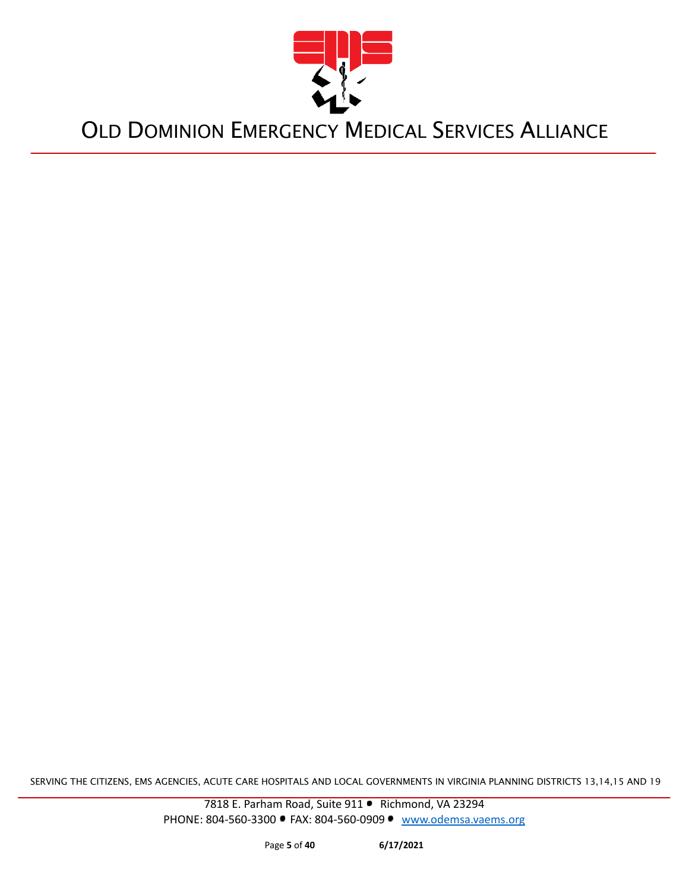

SERVING THE CITIZENS, EMS AGENCIES, ACUTE CARE HOSPITALS AND LOCAL GOVERNMENTS IN VIRGINIA PLANNING DISTRICTS 13,14,15 AND 19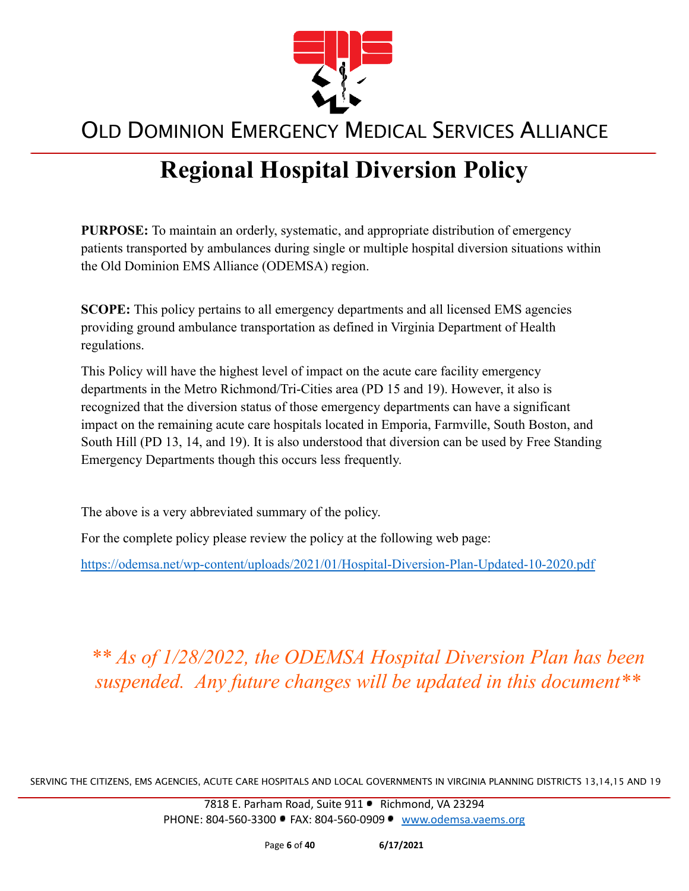

# **Regional Hospital Diversion Policy**

**PURPOSE:** To maintain an orderly, systematic, and appropriate distribution of emergency patients transported by ambulances during single or multiple hospital diversion situations within the Old Dominion EMS Alliance (ODEMSA) region.

**SCOPE:** This policy pertains to all emergency departments and all licensed EMS agencies providing ground ambulance transportation as defined in Virginia Department of Health regulations.

This Policy will have the highest level of impact on the acute care facility emergency departments in the Metro Richmond/Tri-Cities area (PD 15 and 19). However, it also is recognized that the diversion status of those emergency departments can have a significant impact on the remaining acute care hospitals located in Emporia, Farmville, South Boston, and South Hill (PD 13, 14, and 19). It is also understood that diversion can be used by Free Standing Emergency Departments though this occurs less frequently.

The above is a very abbreviated summary of the policy.

For the complete policy please review the policy at the following web page:

<https://odemsa.net/wp-content/uploads/2021/01/Hospital-Diversion-Plan-Updated-10-2020.pdf>

#### *\*\* As of 1/28/2022, the ODEMSA Hospital Diversion Plan has been suspended. Any future changes will be updated in this document\*\**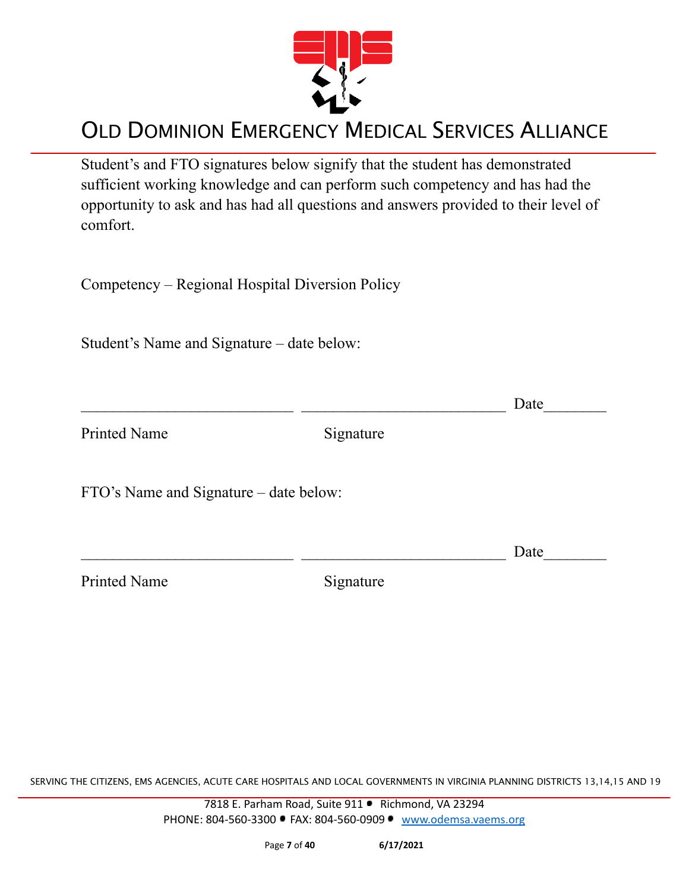

Student's and FTO signatures below signify that the student has demonstrated sufficient working knowledge and can perform such competency and has had the opportunity to ask and has had all questions and answers provided to their level of comfort.

Competency – Regional Hospital Diversion Policy

Student's Name and Signature – date below:

|                                        |           | Date |
|----------------------------------------|-----------|------|
| <b>Printed Name</b>                    | Signature |      |
| FTO's Name and Signature – date below: |           |      |
|                                        |           | Date |
| <b>Printed Name</b>                    | Signature |      |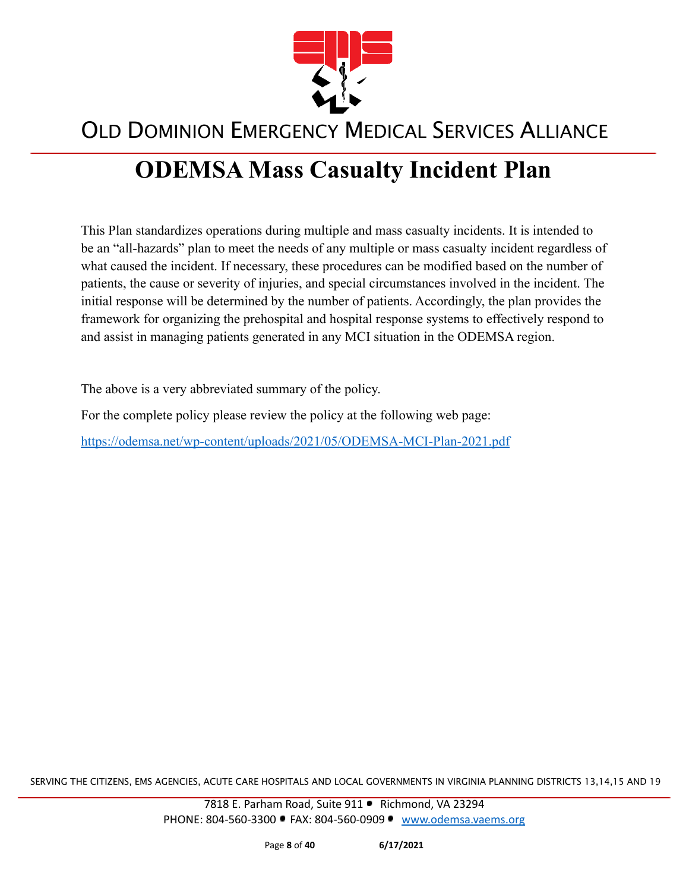

# **ODEMSA Mass Casualty Incident Plan**

This Plan standardizes operations during multiple and mass casualty incidents. It is intended to be an "all-hazards" plan to meet the needs of any multiple or mass casualty incident regardless of what caused the incident. If necessary, these procedures can be modified based on the number of patients, the cause or severity of injuries, and special circumstances involved in the incident. The initial response will be determined by the number of patients. Accordingly, the plan provides the framework for organizing the prehospital and hospital response systems to effectively respond to and assist in managing patients generated in any MCI situation in the ODEMSA region.

The above is a very abbreviated summary of the policy.

For the complete policy please review the policy at the following web page:

<https://odemsa.net/wp-content/uploads/2021/05/ODEMSA-MCI-Plan-2021.pdf>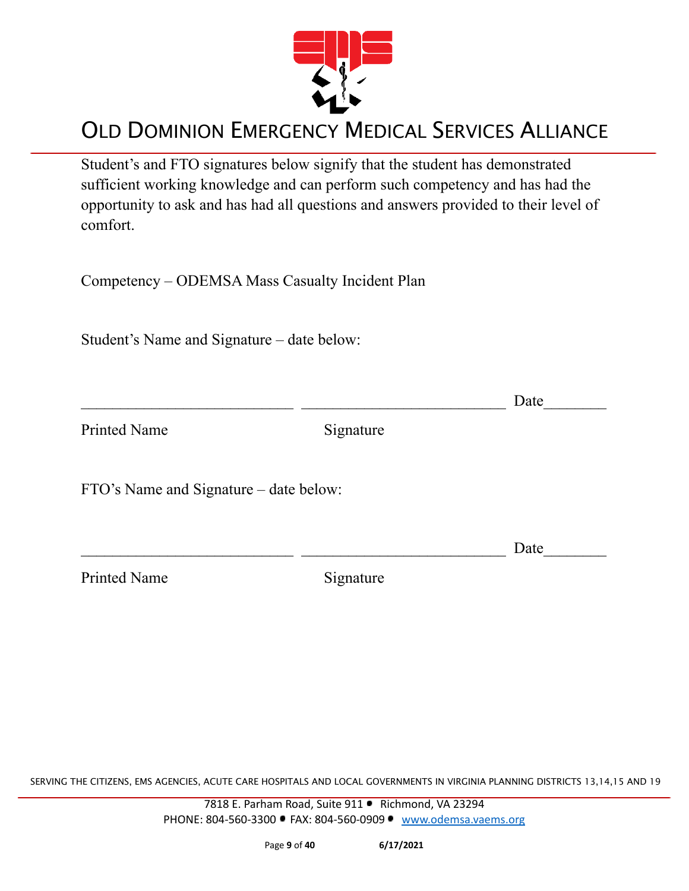

Student's and FTO signatures below signify that the student has demonstrated sufficient working knowledge and can perform such competency and has had the opportunity to ask and has had all questions and answers provided to their level of comfort.

Competency – ODEMSA Mass Casualty Incident Plan

Student's Name and Signature – date below:

|                                        |           | Date |
|----------------------------------------|-----------|------|
| <b>Printed Name</b>                    | Signature |      |
| FTO's Name and Signature – date below: |           |      |
|                                        |           | Date |
| <b>Printed Name</b>                    | Signature |      |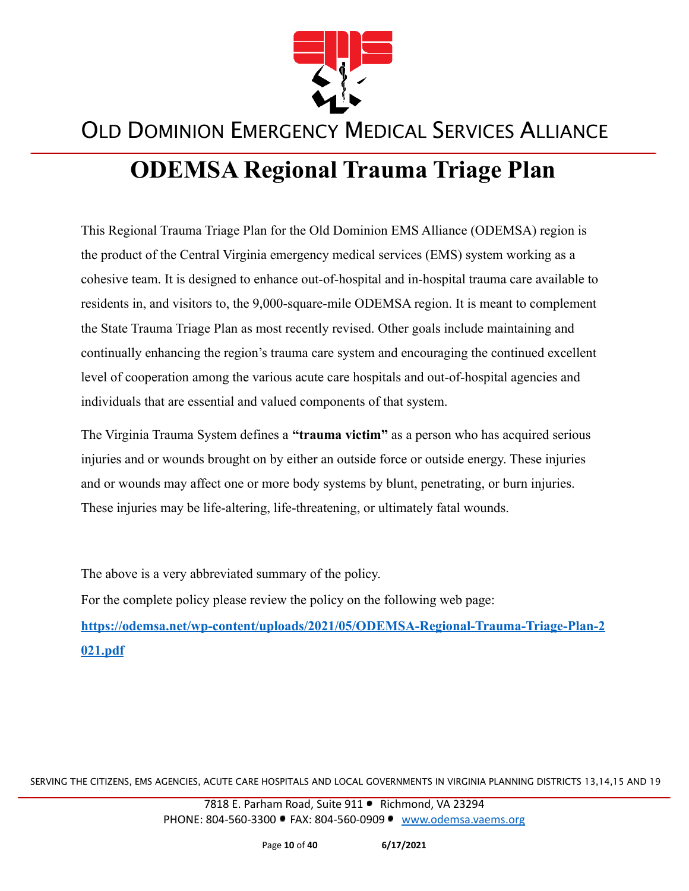

# **ODEMSA Regional Trauma Triage Plan**

This Regional Trauma Triage Plan for the Old Dominion EMS Alliance (ODEMSA) region is the product of the Central Virginia emergency medical services (EMS) system working as a cohesive team. It is designed to enhance out-of-hospital and in-hospital trauma care available to residents in, and visitors to, the 9,000-square-mile ODEMSA region. It is meant to complement the State Trauma Triage Plan as most recently revised. Other goals include maintaining and continually enhancing the region's trauma care system and encouraging the continued excellent level of cooperation among the various acute care hospitals and out-of-hospital agencies and individuals that are essential and valued components of that system.

The Virginia Trauma System defines a **"trauma victim"** as a person who has acquired serious injuries and or wounds brought on by either an outside force or outside energy. These injuries and or wounds may affect one or more body systems by blunt, penetrating, or burn injuries. These injuries may be life-altering, life-threatening, or ultimately fatal wounds.

The above is a very abbreviated summary of the policy.

For the complete policy please review the policy on the following web page:

**[https://odemsa.net/wp-content/uploads/2021/05/ODEMSA-Regional-Trauma-Triage-Plan-2](https://odemsa.net/wp-content/uploads/2021/05/ODEMSA-Regional-Trauma-Triage-Plan-2021.pdf) [021.pdf](https://odemsa.net/wp-content/uploads/2021/05/ODEMSA-Regional-Trauma-Triage-Plan-2021.pdf)**

SERVING THE CITIZENS, EMS AGENCIES, ACUTE CARE HOSPITALS AND LOCAL GOVERNMENTS IN VIRGINIA PLANNING DISTRICTS 13,14,15 AND 19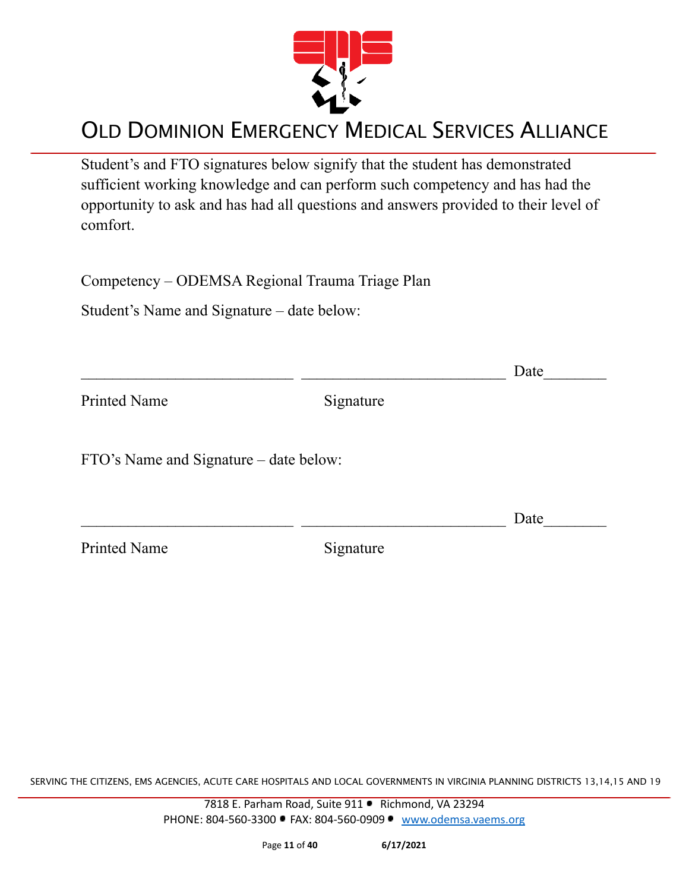

Student's and FTO signatures below signify that the student has demonstrated sufficient working knowledge and can perform such competency and has had the opportunity to ask and has had all questions and answers provided to their level of comfort.

Competency – ODEMSA Regional Trauma Triage Plan

Student's Name and Signature – date below:

|                                        |           | Date |
|----------------------------------------|-----------|------|
| <b>Printed Name</b>                    | Signature |      |
| FTO's Name and Signature – date below: |           |      |
|                                        |           | Date |
| <b>Printed Name</b>                    | Signature |      |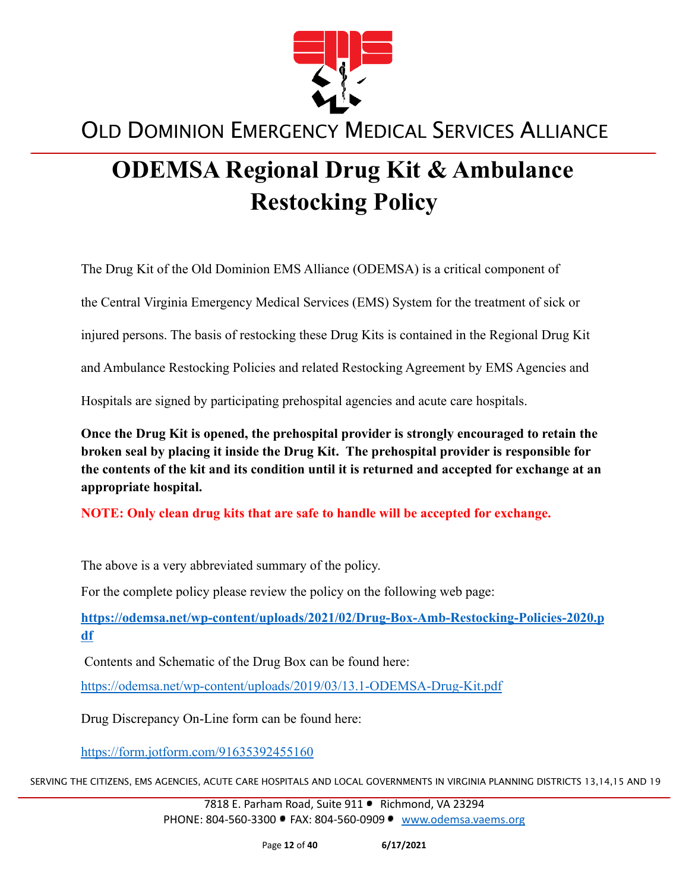![](_page_12_Picture_0.jpeg)

# **ODEMSA Regional Drug Kit & Ambulance Restocking Policy**

The Drug Kit of the Old Dominion EMS Alliance (ODEMSA) is a critical component of

the Central Virginia Emergency Medical Services (EMS) System for the treatment of sick or

injured persons. The basis of restocking these Drug Kits is contained in the Regional Drug Kit

and Ambulance Restocking Policies and related Restocking Agreement by EMS Agencies and

Hospitals are signed by participating prehospital agencies and acute care hospitals.

**Once the Drug Kit is opened, the prehospital provider is strongly encouraged to retain the broken seal by placing it inside the Drug Kit. The prehospital provider is responsible for the contents of the kit and its condition until it is returned and accepted for exchange at an appropriate hospital.**

**NOTE: Only clean drug kits that are safe to handle will be accepted for exchange.**

The above is a very abbreviated summary of the policy.

For the complete policy please review the policy on the following web page:

**[https://odemsa.net/wp-content/uploads/2021/02/Drug-Box-Amb-Restocking-Policies-2020.p](https://odemsa.net/wp-content/uploads/2021/02/Drug-Box-Amb-Restocking-Policies-2020.pdf) [df](https://odemsa.net/wp-content/uploads/2021/02/Drug-Box-Amb-Restocking-Policies-2020.pdf)**

Contents and Schematic of the Drug Box can be found here:

<https://odemsa.net/wp-content/uploads/2019/03/13.1-ODEMSA-Drug-Kit.pdf>

Drug Discrepancy On-Line form can be found here:

<https://form.jotform.com/91635392455160>

SERVING THE CITIZENS, EMS AGENCIES, ACUTE CARE HOSPITALS AND LOCAL GOVERNMENTS IN VIRGINIA PLANNING DISTRICTS 13,14,15 AND 19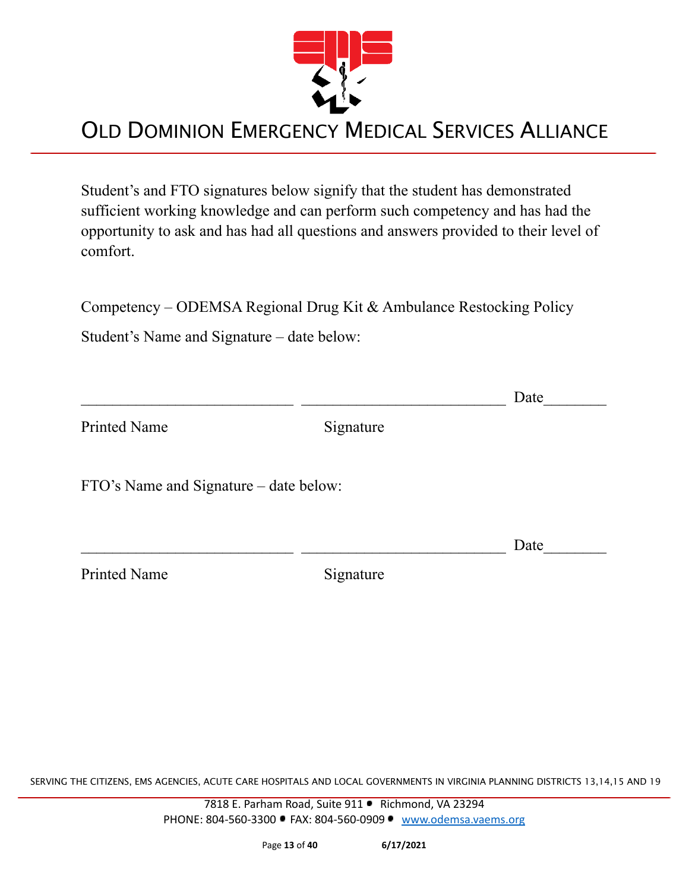![](_page_13_Picture_0.jpeg)

Student's and FTO signatures below signify that the student has demonstrated sufficient working knowledge and can perform such competency and has had the opportunity to ask and has had all questions and answers provided to their level of comfort.

Competency – ODEMSA Regional Drug Kit & Ambulance Restocking Policy

Student's Name and Signature – date below:

|                                        |           | Date |
|----------------------------------------|-----------|------|
| <b>Printed Name</b>                    | Signature |      |
| FTO's Name and Signature – date below: |           |      |
|                                        |           | Date |
| <b>Printed Name</b>                    | Signature |      |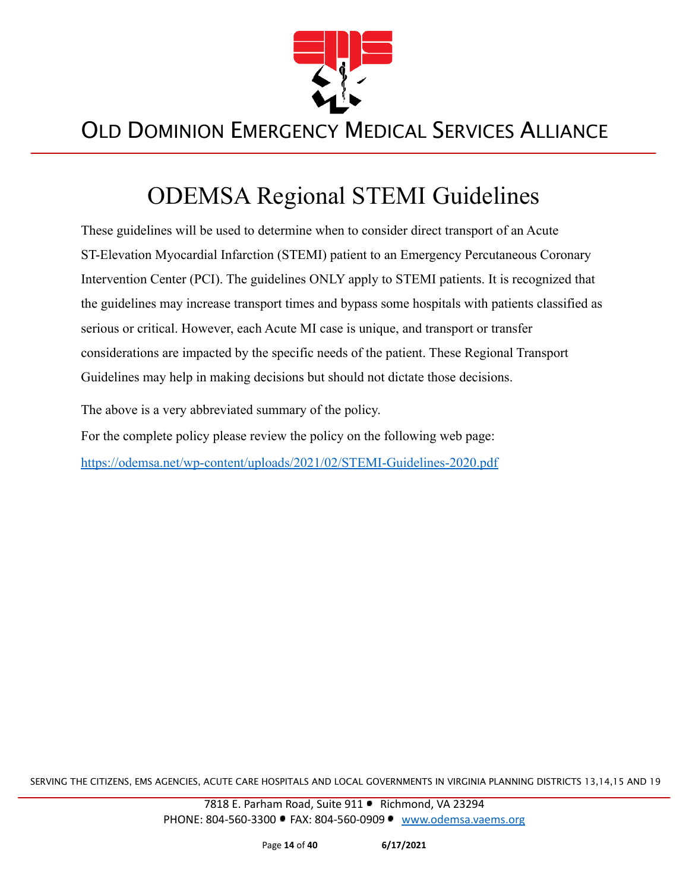![](_page_14_Picture_0.jpeg)

# ODEMSA Regional STEMI Guidelines

These guidelines will be used to determine when to consider direct transport of an Acute ST-Elevation Myocardial Infarction (STEMI) patient to an Emergency Percutaneous Coronary Intervention Center (PCI). The guidelines ONLY apply to STEMI patients. It is recognized that the guidelines may increase transport times and bypass some hospitals with patients classified as serious or critical. However, each Acute MI case is unique, and transport or transfer considerations are impacted by the specific needs of the patient. These Regional Transport Guidelines may help in making decisions but should not dictate those decisions.

The above is a very abbreviated summary of the policy.

For the complete policy please review the policy on the following web page:

<https://odemsa.net/wp-content/uploads/2021/02/STEMI-Guidelines-2020.pdf>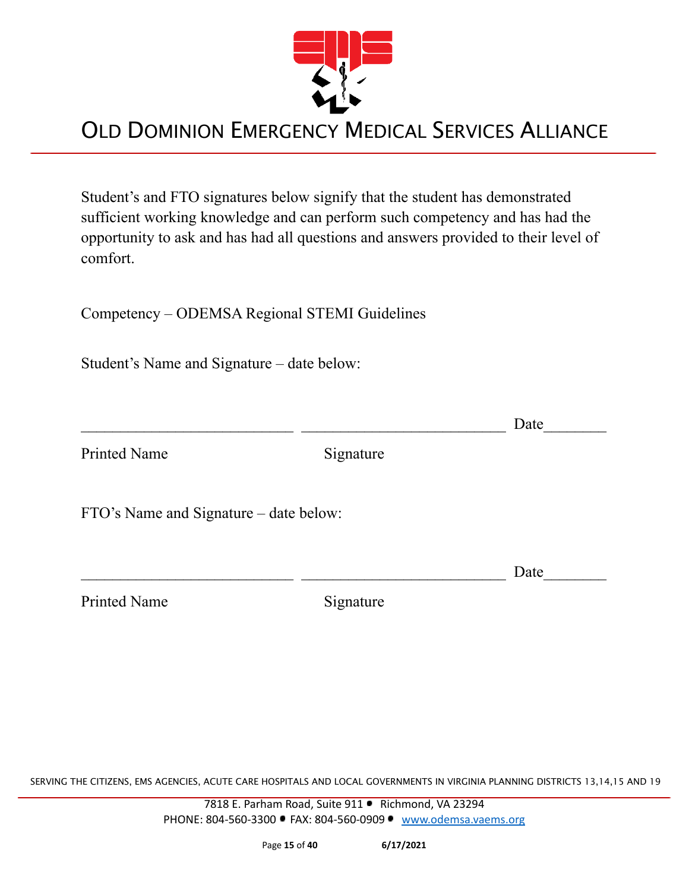![](_page_15_Picture_0.jpeg)

Student's and FTO signatures below signify that the student has demonstrated sufficient working knowledge and can perform such competency and has had the opportunity to ask and has had all questions and answers provided to their level of comfort.

Competency – ODEMSA Regional STEMI Guidelines

Student's Name and Signature – date below:

|                                        |           | Date |
|----------------------------------------|-----------|------|
| <b>Printed Name</b>                    | Signature |      |
| FTO's Name and Signature – date below: |           |      |
|                                        |           | Date |
| <b>Printed Name</b>                    | Signature |      |

SERVING THE CITIZENS, EMS AGENCIES, ACUTE CARE HOSPITALS AND LOCAL GOVERNMENTS IN VIRGINIA PLANNING DISTRICTS 13,14,15 AND 19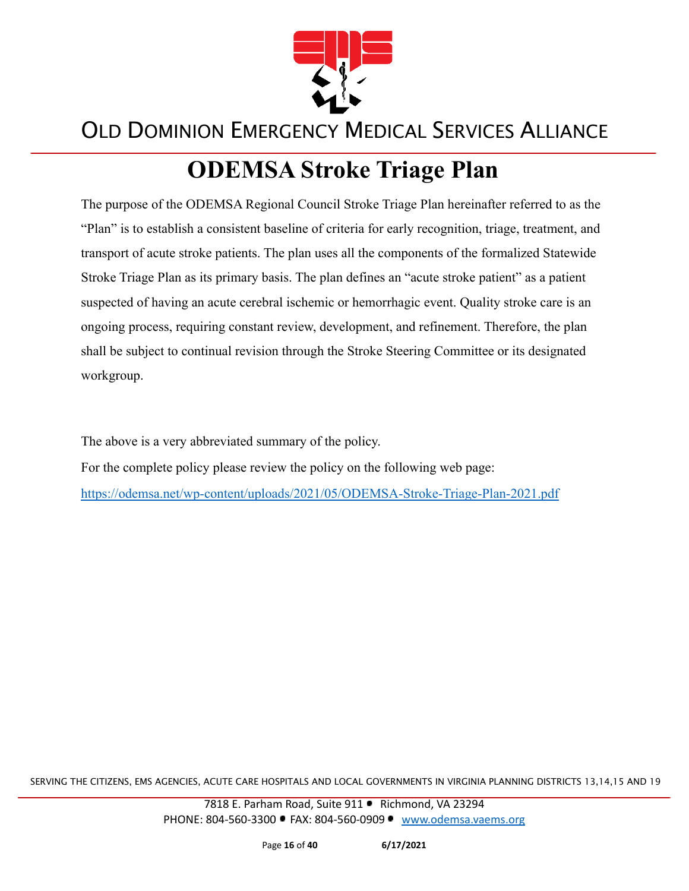![](_page_16_Picture_0.jpeg)

# **ODEMSA Stroke Triage Plan**

The purpose of the ODEMSA Regional Council Stroke Triage Plan hereinafter referred to as the "Plan" is to establish a consistent baseline of criteria for early recognition, triage, treatment, and transport of acute stroke patients. The plan uses all the components of the formalized Statewide Stroke Triage Plan as its primary basis. The plan defines an "acute stroke patient" as a patient suspected of having an acute cerebral ischemic or hemorrhagic event. Quality stroke care is an ongoing process, requiring constant review, development, and refinement. Therefore, the plan shall be subject to continual revision through the Stroke Steering Committee or its designated workgroup.

The above is a very abbreviated summary of the policy.

For the complete policy please review the policy on the following web page:

<https://odemsa.net/wp-content/uploads/2021/05/ODEMSA-Stroke-Triage-Plan-2021.pdf>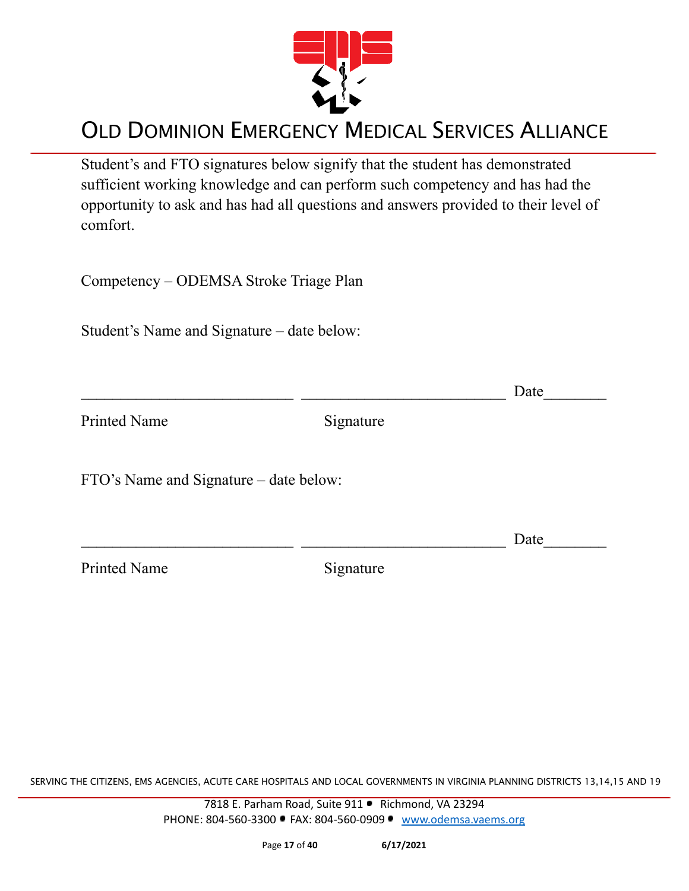![](_page_17_Picture_0.jpeg)

Student's and FTO signatures below signify that the student has demonstrated sufficient working knowledge and can perform such competency and has had the opportunity to ask and has had all questions and answers provided to their level of comfort.

Competency – ODEMSA Stroke Triage Plan

Student's Name and Signature – date below:

|                                        |           | Date |
|----------------------------------------|-----------|------|
| <b>Printed Name</b>                    | Signature |      |
| FTO's Name and Signature – date below: |           |      |
|                                        |           | Date |
| <b>Printed Name</b>                    | Signature |      |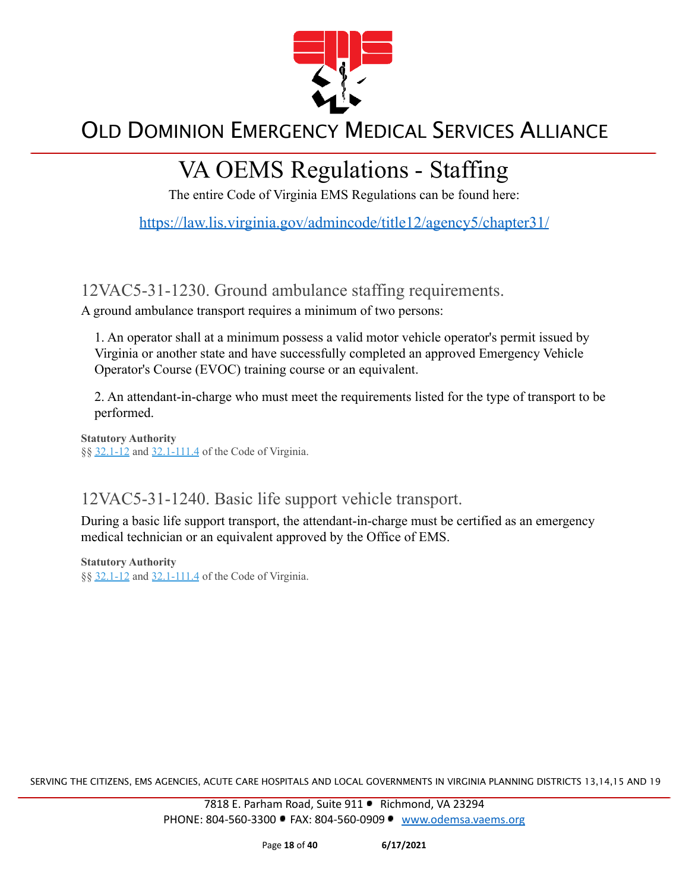![](_page_18_Picture_0.jpeg)

# VA OEMS Regulations - Staffing

The entire Code of Virginia EMS Regulations can be found here:

<https://law.lis.virginia.gov/admincode/title12/agency5/chapter31/>

12VAC5-31-1230. Ground ambulance staffing requirements.

A ground ambulance transport requires a minimum of two persons:

1. An operator shall at a minimum possess a valid motor vehicle operator's permit issued by Virginia or another state and have successfully completed an approved Emergency Vehicle Operator's Course (EVOC) training course or an equivalent.

2. An attendant-in-charge who must meet the requirements listed for the type of transport to be performed.

**Statutory Authority** §§ [32.1-12](https://law.lis.virginia.gov/vacode/32.1-12/) and [32.1-111.4](https://law.lis.virginia.gov/vacode/32.1-111.4/) of the Code of Virginia.

#### 12VAC5-31-1240. Basic life support vehicle transport.

During a basic life support transport, the attendant-in-charge must be certified as an emergency medical technician or an equivalent approved by the Office of EMS.

**Statutory Authority** §§ [32.1-12](https://law.lis.virginia.gov/vacode/32.1-12/) and [32.1-111.4](https://law.lis.virginia.gov/vacode/32.1-111.4/) of the Code of Virginia.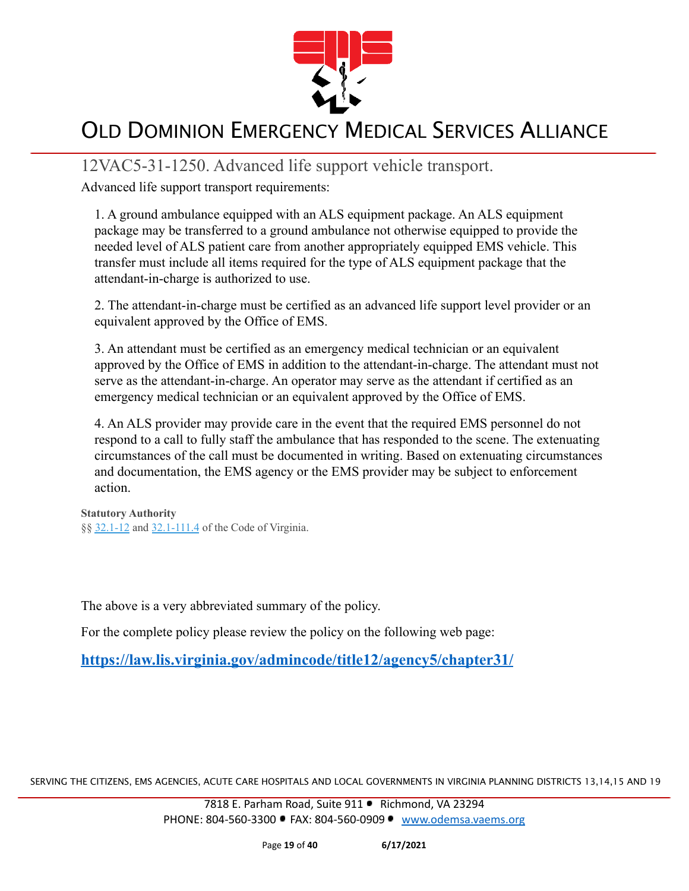![](_page_19_Picture_0.jpeg)

12VAC5-31-1250. Advanced life support vehicle transport.

Advanced life support transport requirements:

1. A ground ambulance equipped with an ALS equipment package. An ALS equipment package may be transferred to a ground ambulance not otherwise equipped to provide the needed level of ALS patient care from another appropriately equipped EMS vehicle. This transfer must include all items required for the type of ALS equipment package that the attendant-in-charge is authorized to use.

2. The attendant-in-charge must be certified as an advanced life support level provider or an equivalent approved by the Office of EMS.

3. An attendant must be certified as an emergency medical technician or an equivalent approved by the Office of EMS in addition to the attendant-in-charge. The attendant must not serve as the attendant-in-charge. An operator may serve as the attendant if certified as an emergency medical technician or an equivalent approved by the Office of EMS.

4. An ALS provider may provide care in the event that the required EMS personnel do not respond to a call to fully staff the ambulance that has responded to the scene. The extenuating circumstances of the call must be documented in writing. Based on extenuating circumstances and documentation, the EMS agency or the EMS provider may be subject to enforcement action.

**Statutory Authority** §§ [32.1-12](https://law.lis.virginia.gov/vacode/32.1-12/) and [32.1-111.4](https://law.lis.virginia.gov/vacode/32.1-111.4/) of the Code of Virginia.

The above is a very abbreviated summary of the policy.

For the complete policy please review the policy on the following web page:

**<https://law.lis.virginia.gov/admincode/title12/agency5/chapter31/>**

SERVING THE CITIZENS, EMS AGENCIES, ACUTE CARE HOSPITALS AND LOCAL GOVERNMENTS IN VIRGINIA PLANNING DISTRICTS 13,14,15 AND 19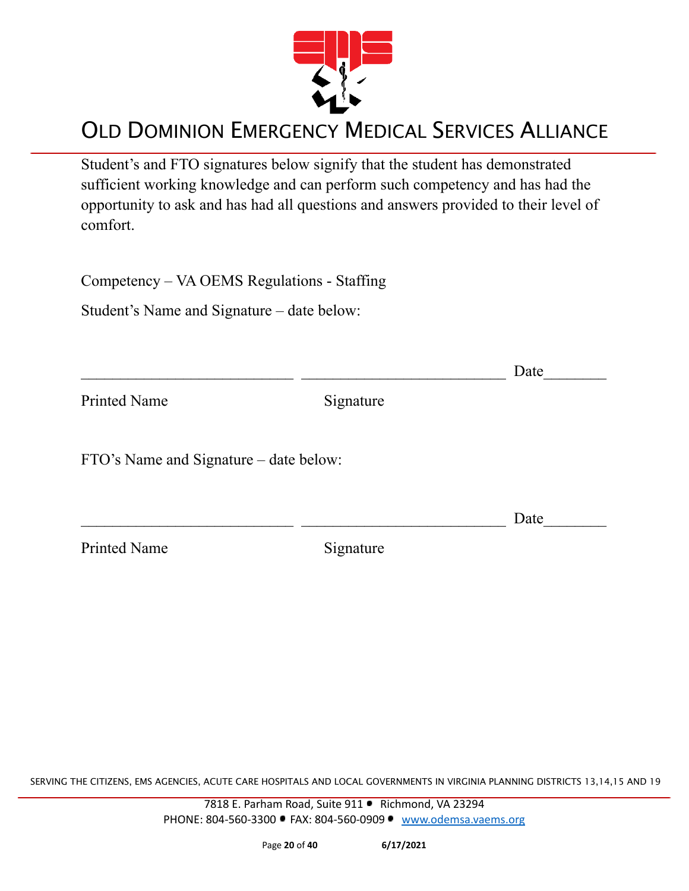![](_page_20_Picture_0.jpeg)

Student's and FTO signatures below signify that the student has demonstrated sufficient working knowledge and can perform such competency and has had the opportunity to ask and has had all questions and answers provided to their level of comfort.

Competency – VA OEMS Regulations - Staffing

Student's Name and Signature – date below:

|                                        |           | Date |
|----------------------------------------|-----------|------|
| <b>Printed Name</b>                    | Signature |      |
| FTO's Name and Signature – date below: |           |      |
|                                        |           | Date |
| <b>Printed Name</b>                    | Signature |      |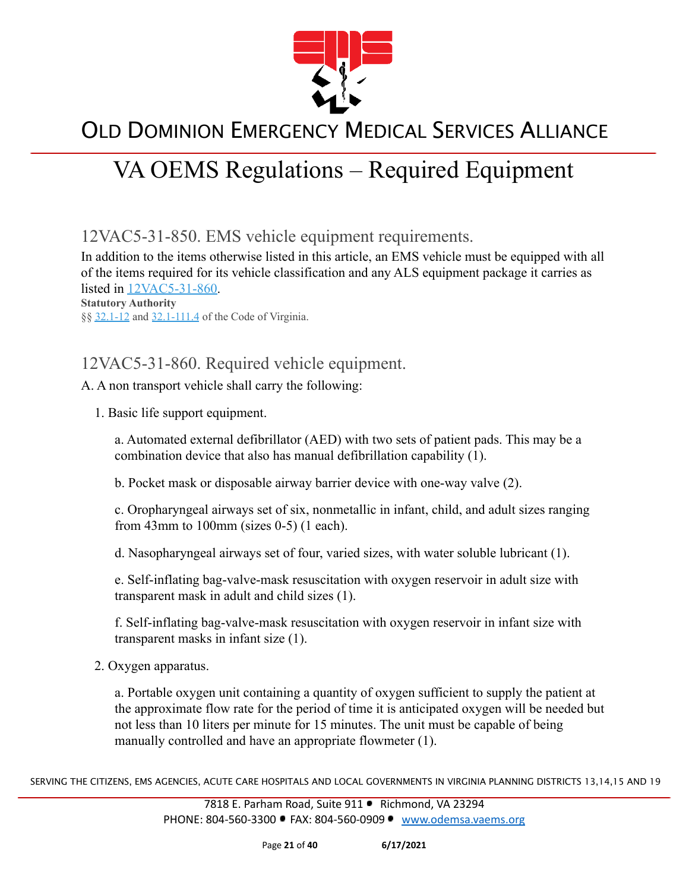![](_page_21_Picture_0.jpeg)

# VA OEMS Regulations – Required Equipment

#### 12VAC5-31-850. EMS vehicle equipment requirements.

In addition to the items otherwise listed in this article, an EMS vehicle must be equipped with all of the items required for its vehicle classification and any ALS equipment package it carries as listed in [12VAC5-31-860](https://law.lis.virginia.gov/admincode/title12/agency5/chapter31/section860/). **Statutory Authority** §§ [32.1-12](https://law.lis.virginia.gov/vacode/32.1-12/) and [32.1-111.4](https://law.lis.virginia.gov/vacode/32.1-111.4/) of the Code of Virginia.

#### 12VAC5-31-860. Required vehicle equipment.

A. A non transport vehicle shall carry the following:

1. Basic life support equipment.

a. Automated external defibrillator (AED) with two sets of patient pads. This may be a combination device that also has manual defibrillation capability (1).

b. Pocket mask or disposable airway barrier device with one-way valve (2).

c. Oropharyngeal airways set of six, nonmetallic in infant, child, and adult sizes ranging from 43mm to 100mm (sizes 0-5) (1 each).

d. Nasopharyngeal airways set of four, varied sizes, with water soluble lubricant (1).

e. Self-inflating bag-valve-mask resuscitation with oxygen reservoir in adult size with transparent mask in adult and child sizes (1).

f. Self-inflating bag-valve-mask resuscitation with oxygen reservoir in infant size with transparent masks in infant size (1).

#### 2. Oxygen apparatus.

a. Portable oxygen unit containing a quantity of oxygen sufficient to supply the patient at the approximate flow rate for the period of time it is anticipated oxygen will be needed but not less than 10 liters per minute for 15 minutes. The unit must be capable of being manually controlled and have an appropriate flowmeter (1).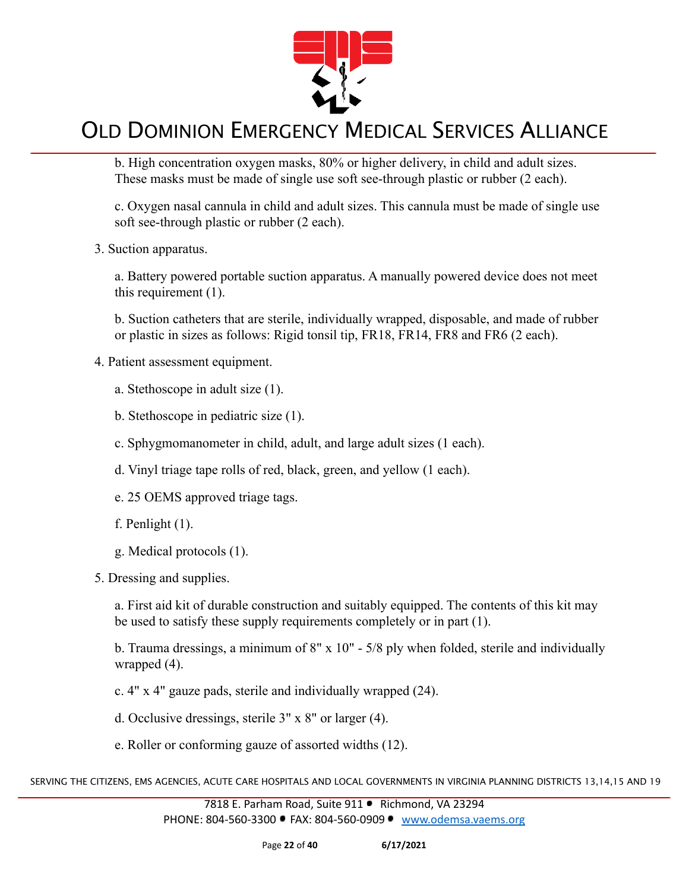![](_page_22_Picture_0.jpeg)

b. High concentration oxygen masks, 80% or higher delivery, in child and adult sizes. These masks must be made of single use soft see-through plastic or rubber (2 each).

c. Oxygen nasal cannula in child and adult sizes. This cannula must be made of single use soft see-through plastic or rubber (2 each).

3. Suction apparatus.

a. Battery powered portable suction apparatus. A manually powered device does not meet this requirement (1).

b. Suction catheters that are sterile, individually wrapped, disposable, and made of rubber or plastic in sizes as follows: Rigid tonsil tip, FR18, FR14, FR8 and FR6 (2 each).

- 4. Patient assessment equipment.
	- a. Stethoscope in adult size (1).
	- b. Stethoscope in pediatric size (1).
	- c. Sphygmomanometer in child, adult, and large adult sizes (1 each).
	- d. Vinyl triage tape rolls of red, black, green, and yellow (1 each).
	- e. 25 OEMS approved triage tags.
	- f. Penlight (1).
	- g. Medical protocols (1).
- 5. Dressing and supplies.

a. First aid kit of durable construction and suitably equipped. The contents of this kit may be used to satisfy these supply requirements completely or in part (1).

b. Trauma dressings, a minimum of 8" x 10" - 5/8 ply when folded, sterile and individually wrapped (4).

c. 4" x 4" gauze pads, sterile and individually wrapped (24).

- d. Occlusive dressings, sterile 3" x 8" or larger (4).
- e. Roller or conforming gauze of assorted widths (12).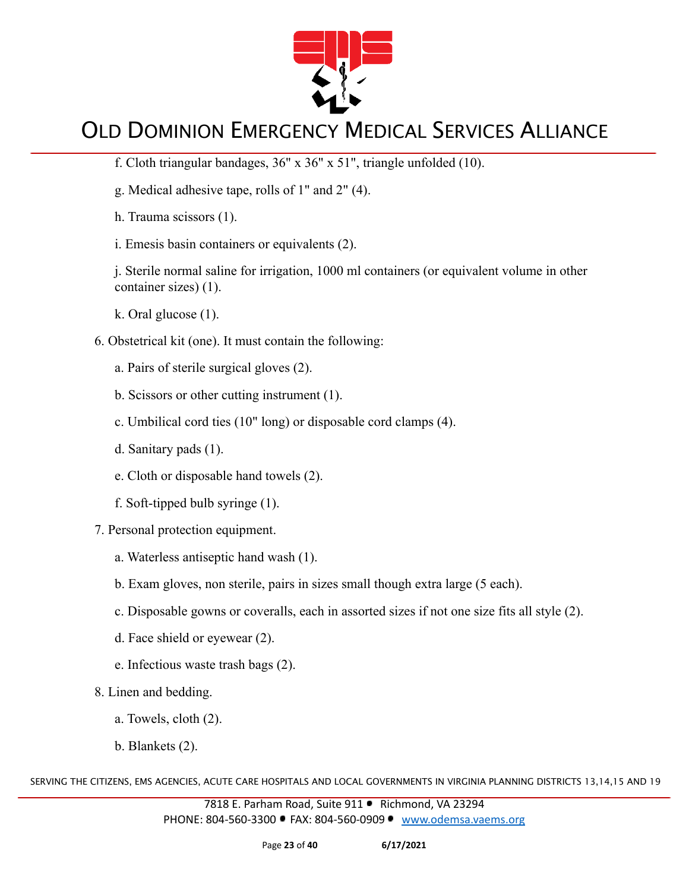![](_page_23_Picture_0.jpeg)

- f. Cloth triangular bandages, 36" x 36" x 51", triangle unfolded (10).
- g. Medical adhesive tape, rolls of 1" and 2" (4).
- h. Trauma scissors (1).
- i. Emesis basin containers or equivalents (2).

j. Sterile normal saline for irrigation, 1000 ml containers (or equivalent volume in other container sizes) (1).

- k. Oral glucose (1).
- 6. Obstetrical kit (one). It must contain the following:
	- a. Pairs of sterile surgical gloves (2).
	- b. Scissors or other cutting instrument (1).
	- c. Umbilical cord ties (10" long) or disposable cord clamps (4).
	- d. Sanitary pads (1).
	- e. Cloth or disposable hand towels (2).
	- f. Soft-tipped bulb syringe (1).
- 7. Personal protection equipment.
	- a. Waterless antiseptic hand wash (1).
	- b. Exam gloves, non sterile, pairs in sizes small though extra large (5 each).
	- c. Disposable gowns or coveralls, each in assorted sizes if not one size fits all style (2).
	- d. Face shield or eyewear (2).
	- e. Infectious waste trash bags (2).
- 8. Linen and bedding.
	- a. Towels, cloth (2).
	- b. Blankets (2).

SERVING THE CITIZENS, EMS AGENCIES, ACUTE CARE HOSPITALS AND LOCAL GOVERNMENTS IN VIRGINIA PLANNING DISTRICTS 13,14,15 AND 19

7818 E. Parham Road, Suite 911 · Richmond, VA 23294 PHONE: 804-560-3300 FAX: 804-560-0909 [www.odemsa.vaems.org](http://www.odemsa.vaems.org)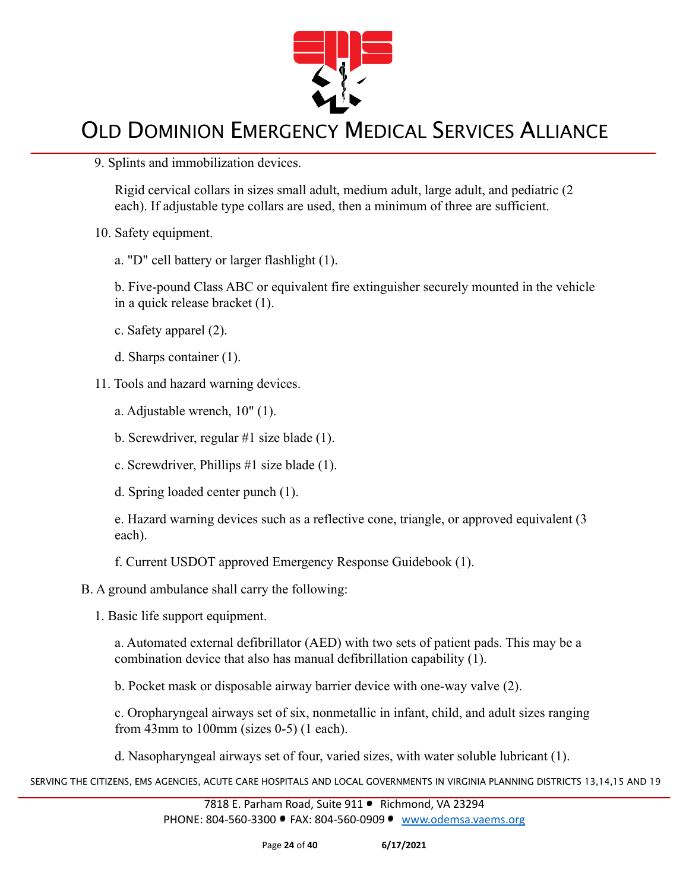![](_page_24_Picture_0.jpeg)

9. Splints and immobilization devices.

Rigid cervical collars in sizes small adult, medium adult, large adult, and pediatric (2 each). If adjustable type collars are used, then a minimum of three are sufficient.

10. Safety equipment.

a. "D" cell battery or larger flashlight (1).

b. Five-pound Class ABC or equivalent fire extinguisher securely mounted in the vehicle in a quick release bracket (1).

- c. Safety apparel (2).
- d. Sharps container (1).
- 11. Tools and hazard warning devices.
	- a. Adjustable wrench, 10" (1).
	- b. Screwdriver, regular #1 size blade (1).
	- c. Screwdriver, Phillips #1 size blade (1).
	- d. Spring loaded center punch (1).

e. Hazard warning devices such as a reflective cone, triangle, or approved equivalent (3 each).

- f. Current USDOT approved Emergency Response Guidebook (1).
- B. A ground ambulance shall carry the following:
	- 1. Basic life support equipment.

a. Automated external defibrillator (AED) with two sets of patient pads. This may be a combination device that also has manual defibrillation capability (1).

b. Pocket mask or disposable airway barrier device with one-way valve (2).

c. Oropharyngeal airways set of six, nonmetallic in infant, child, and adult sizes ranging from 43mm to 100mm (sizes 0-5) (1 each).

d. Nasopharyngeal airways set of four, varied sizes, with water soluble lubricant (1).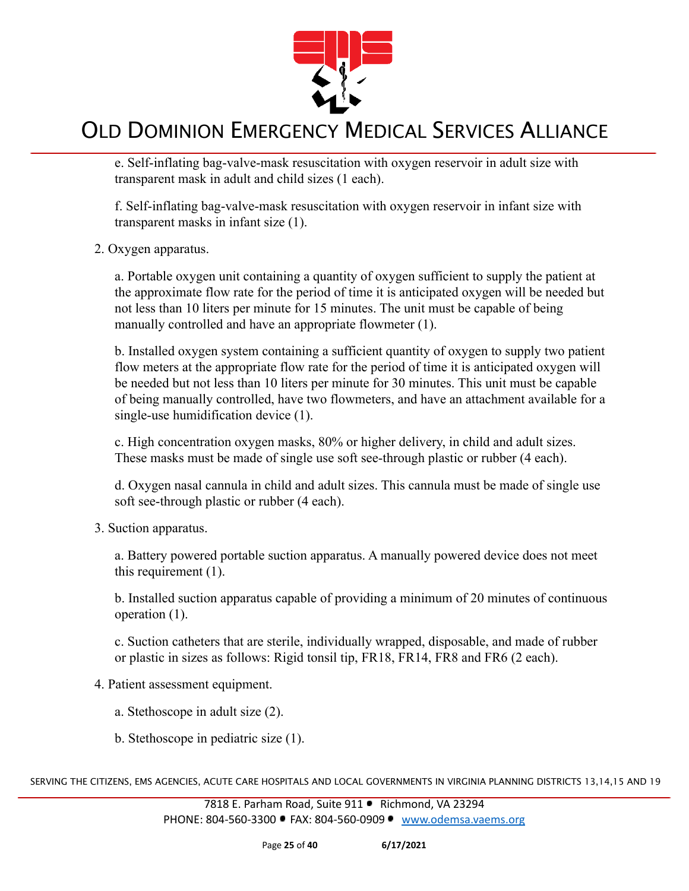![](_page_25_Picture_0.jpeg)

e. Self-inflating bag-valve-mask resuscitation with oxygen reservoir in adult size with transparent mask in adult and child sizes (1 each).

f. Self-inflating bag-valve-mask resuscitation with oxygen reservoir in infant size with transparent masks in infant size (1).

2. Oxygen apparatus.

a. Portable oxygen unit containing a quantity of oxygen sufficient to supply the patient at the approximate flow rate for the period of time it is anticipated oxygen will be needed but not less than 10 liters per minute for 15 minutes. The unit must be capable of being manually controlled and have an appropriate flowmeter (1).

b. Installed oxygen system containing a sufficient quantity of oxygen to supply two patient flow meters at the appropriate flow rate for the period of time it is anticipated oxygen will be needed but not less than 10 liters per minute for 30 minutes. This unit must be capable of being manually controlled, have two flowmeters, and have an attachment available for a single-use humidification device (1).

c. High concentration oxygen masks, 80% or higher delivery, in child and adult sizes. These masks must be made of single use soft see-through plastic or rubber (4 each).

d. Oxygen nasal cannula in child and adult sizes. This cannula must be made of single use soft see-through plastic or rubber (4 each).

3. Suction apparatus.

a. Battery powered portable suction apparatus. A manually powered device does not meet this requirement (1).

b. Installed suction apparatus capable of providing a minimum of 20 minutes of continuous operation (1).

c. Suction catheters that are sterile, individually wrapped, disposable, and made of rubber or plastic in sizes as follows: Rigid tonsil tip, FR18, FR14, FR8 and FR6 (2 each).

- 4. Patient assessment equipment.
	- a. Stethoscope in adult size (2).
	- b. Stethoscope in pediatric size (1).

SERVING THE CITIZENS, EMS AGENCIES, ACUTE CARE HOSPITALS AND LOCAL GOVERNMENTS IN VIRGINIA PLANNING DISTRICTS 13,14,15 AND 19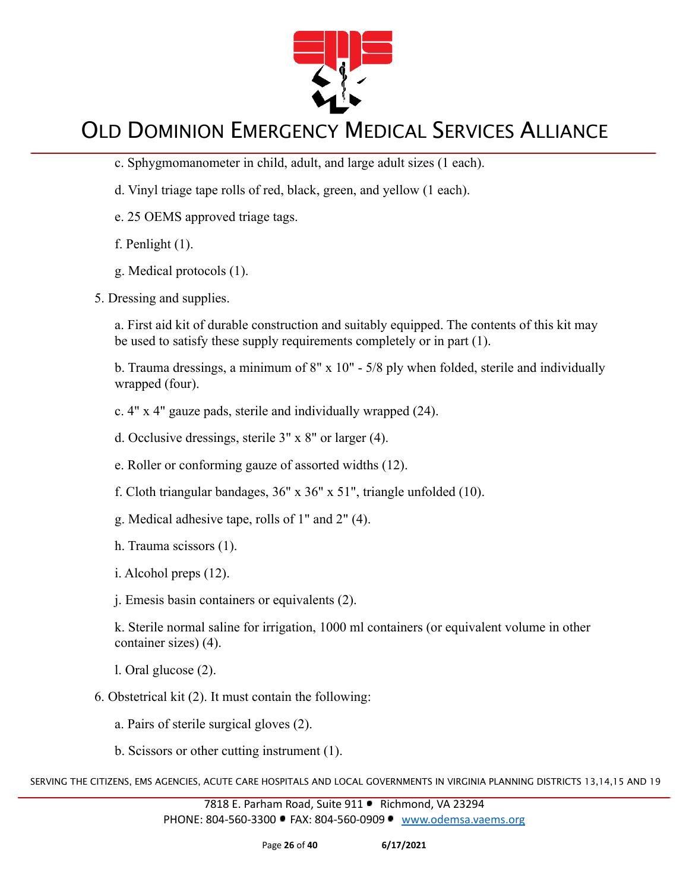![](_page_26_Picture_0.jpeg)

- c. Sphygmomanometer in child, adult, and large adult sizes (1 each).
- d. Vinyl triage tape rolls of red, black, green, and yellow (1 each).
- e. 25 OEMS approved triage tags.

f. Penlight (1).

- g. Medical protocols (1).
- 5. Dressing and supplies.

a. First aid kit of durable construction and suitably equipped. The contents of this kit may be used to satisfy these supply requirements completely or in part (1).

b. Trauma dressings, a minimum of 8" x 10" - 5/8 ply when folded, sterile and individually wrapped (four).

c. 4" x 4" gauze pads, sterile and individually wrapped (24).

- d. Occlusive dressings, sterile 3" x 8" or larger (4).
- e. Roller or conforming gauze of assorted widths (12).
- f. Cloth triangular bandages, 36" x 36" x 51", triangle unfolded (10).
- g. Medical adhesive tape, rolls of 1" and 2" (4).
- h. Trauma scissors (1).
- i. Alcohol preps (12).
- j. Emesis basin containers or equivalents (2).

k. Sterile normal saline for irrigation, 1000 ml containers (or equivalent volume in other container sizes) (4).

l. Oral glucose (2).

- 6. Obstetrical kit (2). It must contain the following:
	- a. Pairs of sterile surgical gloves (2).
	- b. Scissors or other cutting instrument (1).

SERVING THE CITIZENS, EMS AGENCIES, ACUTE CARE HOSPITALS AND LOCAL GOVERNMENTS IN VIRGINIA PLANNING DISTRICTS 13,14,15 AND 19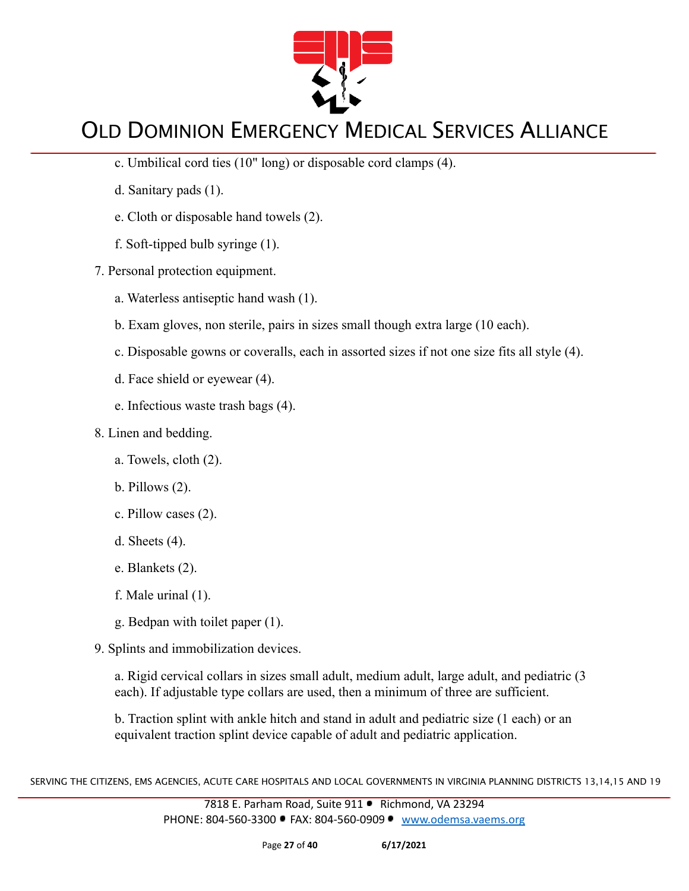![](_page_27_Picture_0.jpeg)

- c. Umbilical cord ties (10" long) or disposable cord clamps (4).
- d. Sanitary pads (1).
- e. Cloth or disposable hand towels (2).
- f. Soft-tipped bulb syringe (1).
- 7. Personal protection equipment.
	- a. Waterless antiseptic hand wash (1).
	- b. Exam gloves, non sterile, pairs in sizes small though extra large (10 each).
	- c. Disposable gowns or coveralls, each in assorted sizes if not one size fits all style (4).
	- d. Face shield or eyewear (4).
	- e. Infectious waste trash bags (4).
- 8. Linen and bedding.
	- a. Towels, cloth (2).
	- b. Pillows (2).
	- c. Pillow cases (2).
	- d. Sheets (4).
	- e. Blankets (2).
	- f. Male urinal (1).
	- g. Bedpan with toilet paper (1).
- 9. Splints and immobilization devices.

a. Rigid cervical collars in sizes small adult, medium adult, large adult, and pediatric (3 each). If adjustable type collars are used, then a minimum of three are sufficient.

b. Traction splint with ankle hitch and stand in adult and pediatric size (1 each) or an equivalent traction splint device capable of adult and pediatric application.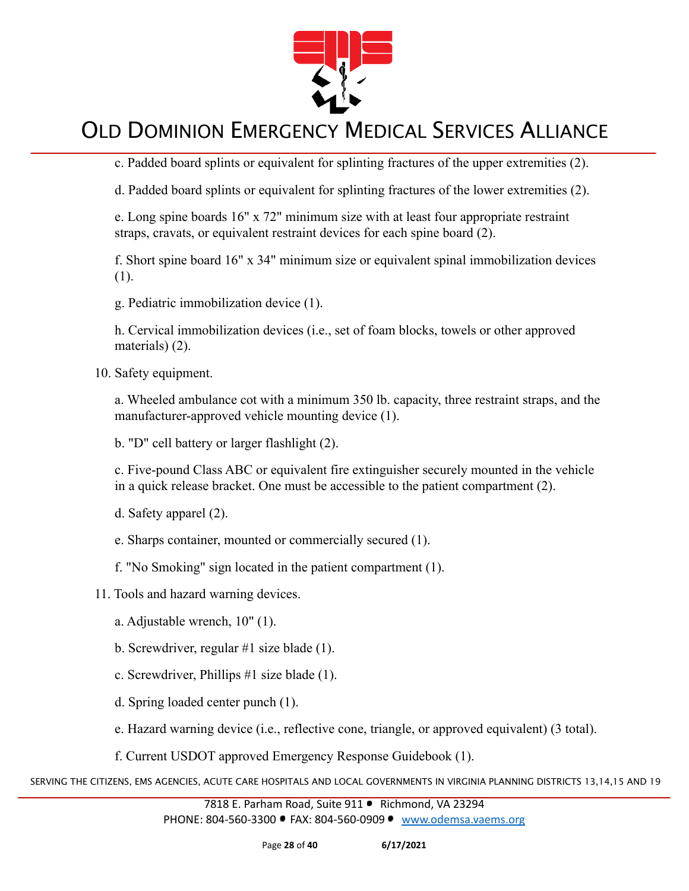![](_page_28_Picture_0.jpeg)

c. Padded board splints or equivalent for splinting fractures of the upper extremities (2).

d. Padded board splints or equivalent for splinting fractures of the lower extremities (2).

e. Long spine boards 16" x 72" minimum size with at least four appropriate restraint straps, cravats, or equivalent restraint devices for each spine board (2).

f. Short spine board 16" x 34" minimum size or equivalent spinal immobilization devices (1).

g. Pediatric immobilization device (1).

h. Cervical immobilization devices (i.e., set of foam blocks, towels or other approved materials) (2).

10. Safety equipment.

a. Wheeled ambulance cot with a minimum 350 lb. capacity, three restraint straps, and the manufacturer-approved vehicle mounting device (1).

b. "D" cell battery or larger flashlight (2).

c. Five-pound Class ABC or equivalent fire extinguisher securely mounted in the vehicle in a quick release bracket. One must be accessible to the patient compartment (2).

- d. Safety apparel (2).
- e. Sharps container, mounted or commercially secured (1).
- f. "No Smoking" sign located in the patient compartment (1).
- 11. Tools and hazard warning devices.
	- a. Adjustable wrench, 10" (1).
	- b. Screwdriver, regular #1 size blade (1).
	- c. Screwdriver, Phillips #1 size blade (1).
	- d. Spring loaded center punch (1).
	- e. Hazard warning device (i.e., reflective cone, triangle, or approved equivalent) (3 total).

f. Current USDOT approved Emergency Response Guidebook (1).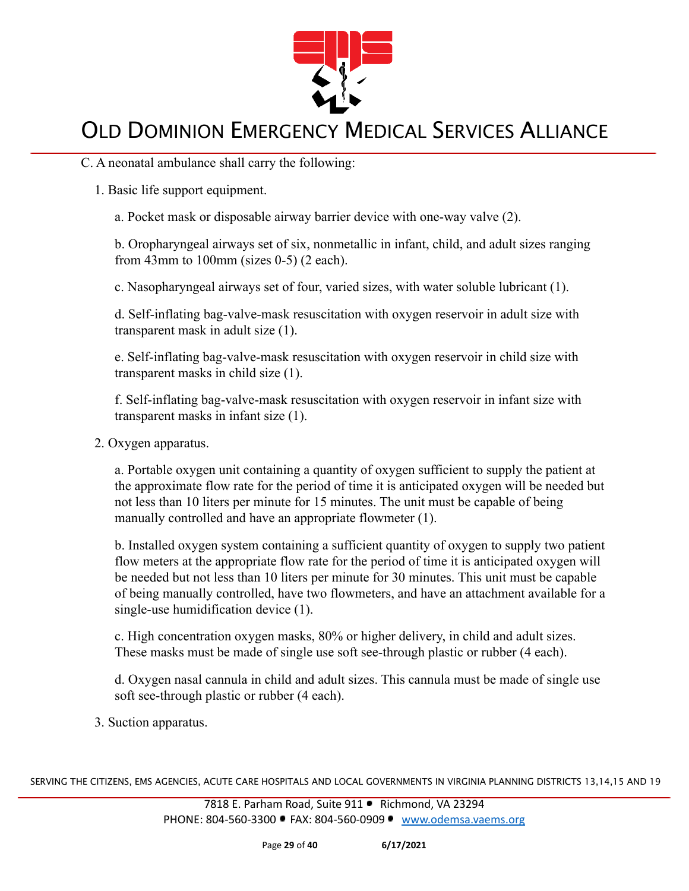![](_page_29_Picture_0.jpeg)

#### C. A neonatal ambulance shall carry the following:

1. Basic life support equipment.

a. Pocket mask or disposable airway barrier device with one-way valve (2).

b. Oropharyngeal airways set of six, nonmetallic in infant, child, and adult sizes ranging from 43mm to 100mm (sizes 0-5) (2 each).

c. Nasopharyngeal airways set of four, varied sizes, with water soluble lubricant (1).

d. Self-inflating bag-valve-mask resuscitation with oxygen reservoir in adult size with transparent mask in adult size (1).

e. Self-inflating bag-valve-mask resuscitation with oxygen reservoir in child size with transparent masks in child size (1).

f. Self-inflating bag-valve-mask resuscitation with oxygen reservoir in infant size with transparent masks in infant size (1).

2. Oxygen apparatus.

a. Portable oxygen unit containing a quantity of oxygen sufficient to supply the patient at the approximate flow rate for the period of time it is anticipated oxygen will be needed but not less than 10 liters per minute for 15 minutes. The unit must be capable of being manually controlled and have an appropriate flowmeter (1).

b. Installed oxygen system containing a sufficient quantity of oxygen to supply two patient flow meters at the appropriate flow rate for the period of time it is anticipated oxygen will be needed but not less than 10 liters per minute for 30 minutes. This unit must be capable of being manually controlled, have two flowmeters, and have an attachment available for a single-use humidification device (1).

c. High concentration oxygen masks, 80% or higher delivery, in child and adult sizes. These masks must be made of single use soft see-through plastic or rubber (4 each).

d. Oxygen nasal cannula in child and adult sizes. This cannula must be made of single use soft see-through plastic or rubber (4 each).

3. Suction apparatus.

SERVING THE CITIZENS, EMS AGENCIES, ACUTE CARE HOSPITALS AND LOCAL GOVERNMENTS IN VIRGINIA PLANNING DISTRICTS 13,14,15 AND 19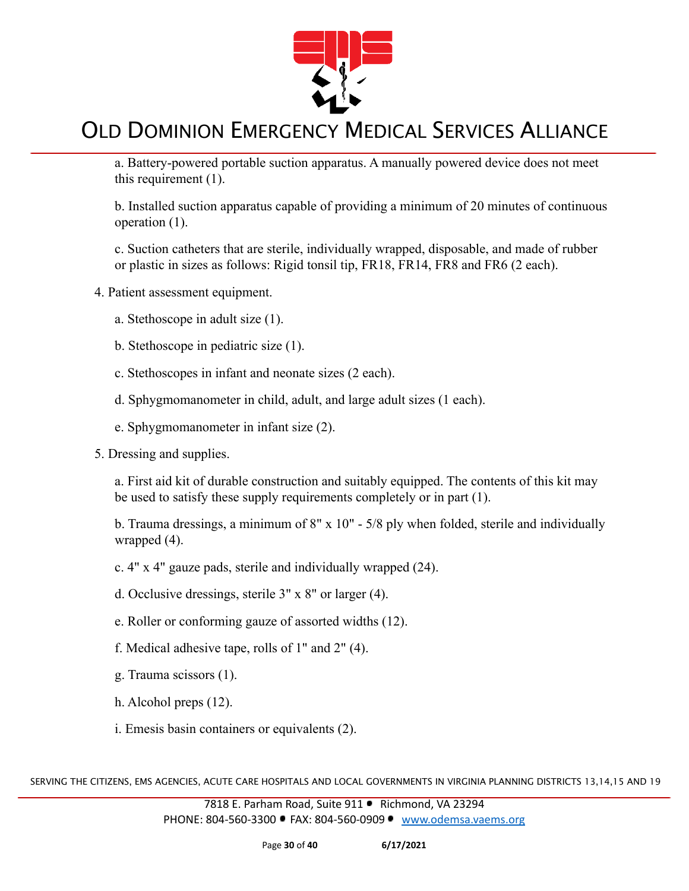![](_page_30_Picture_0.jpeg)

a. Battery-powered portable suction apparatus. A manually powered device does not meet this requirement (1).

b. Installed suction apparatus capable of providing a minimum of 20 minutes of continuous operation (1).

c. Suction catheters that are sterile, individually wrapped, disposable, and made of rubber or plastic in sizes as follows: Rigid tonsil tip, FR18, FR14, FR8 and FR6 (2 each).

- 4. Patient assessment equipment.
	- a. Stethoscope in adult size (1).
	- b. Stethoscope in pediatric size (1).
	- c. Stethoscopes in infant and neonate sizes (2 each).
	- d. Sphygmomanometer in child, adult, and large adult sizes (1 each).
	- e. Sphygmomanometer in infant size (2).
- 5. Dressing and supplies.

a. First aid kit of durable construction and suitably equipped. The contents of this kit may be used to satisfy these supply requirements completely or in part (1).

b. Trauma dressings, a minimum of 8" x 10" - 5/8 ply when folded, sterile and individually wrapped (4).

c. 4" x 4" gauze pads, sterile and individually wrapped (24).

- d. Occlusive dressings, sterile 3" x 8" or larger (4).
- e. Roller or conforming gauze of assorted widths (12).
- f. Medical adhesive tape, rolls of 1" and 2" (4).
- g. Trauma scissors (1).
- h. Alcohol preps (12).
- i. Emesis basin containers or equivalents (2).

SERVING THE CITIZENS, EMS AGENCIES, ACUTE CARE HOSPITALS AND LOCAL GOVERNMENTS IN VIRGINIA PLANNING DISTRICTS 13,14,15 AND 19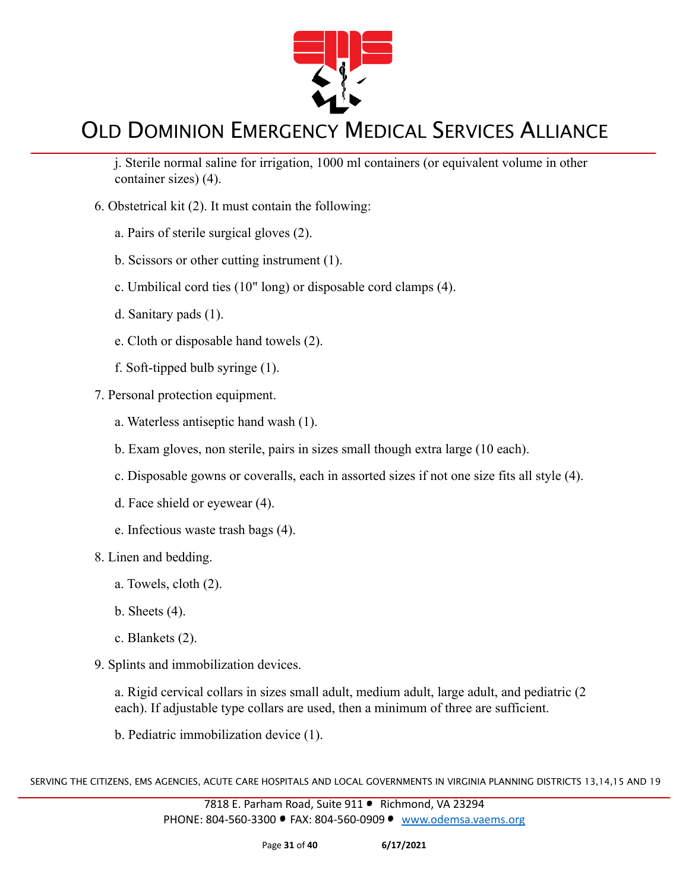![](_page_31_Picture_0.jpeg)

- j. Sterile normal saline for irrigation, 1000 ml containers (or equivalent volume in other container sizes) (4).
- 6. Obstetrical kit (2). It must contain the following:
	- a. Pairs of sterile surgical gloves (2).
	- b. Scissors or other cutting instrument (1).
	- c. Umbilical cord ties (10" long) or disposable cord clamps (4).
	- d. Sanitary pads (1).
	- e. Cloth or disposable hand towels (2).
	- f. Soft-tipped bulb syringe (1).
- 7. Personal protection equipment.
	- a. Waterless antiseptic hand wash (1).
	- b. Exam gloves, non sterile, pairs in sizes small though extra large (10 each).
	- c. Disposable gowns or coveralls, each in assorted sizes if not one size fits all style (4).
	- d. Face shield or eyewear (4).
	- e. Infectious waste trash bags (4).
- 8. Linen and bedding.
	- a. Towels, cloth (2).
	- b. Sheets (4).
	- c. Blankets (2).
- 9. Splints and immobilization devices.

a. Rigid cervical collars in sizes small adult, medium adult, large adult, and pediatric (2 each). If adjustable type collars are used, then a minimum of three are sufficient.

b. Pediatric immobilization device (1).

SERVING THE CITIZENS, EMS AGENCIES, ACUTE CARE HOSPITALS AND LOCAL GOVERNMENTS IN VIRGINIA PLANNING DISTRICTS 13,14,15 AND 19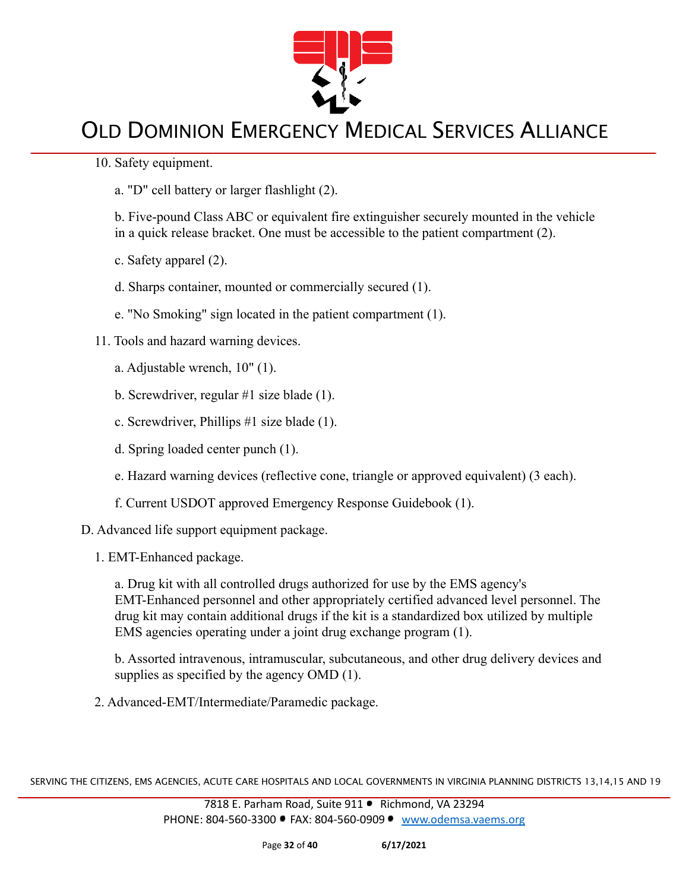![](_page_32_Picture_0.jpeg)

10. Safety equipment.

a. "D" cell battery or larger flashlight (2).

b. Five-pound Class ABC or equivalent fire extinguisher securely mounted in the vehicle in a quick release bracket. One must be accessible to the patient compartment (2).

c. Safety apparel (2).

- d. Sharps container, mounted or commercially secured (1).
- e. "No Smoking" sign located in the patient compartment (1).
- 11. Tools and hazard warning devices.
	- a. Adjustable wrench, 10" (1).
	- b. Screwdriver, regular #1 size blade (1).
	- c. Screwdriver, Phillips #1 size blade (1).
	- d. Spring loaded center punch (1).
	- e. Hazard warning devices (reflective cone, triangle or approved equivalent) (3 each).
	- f. Current USDOT approved Emergency Response Guidebook (1).
- D. Advanced life support equipment package.
	- 1. EMT-Enhanced package.

a. Drug kit with all controlled drugs authorized for use by the EMS agency's EMT-Enhanced personnel and other appropriately certified advanced level personnel. The drug kit may contain additional drugs if the kit is a standardized box utilized by multiple EMS agencies operating under a joint drug exchange program (1).

b. Assorted intravenous, intramuscular, subcutaneous, and other drug delivery devices and supplies as specified by the agency OMD (1).

2. Advanced-EMT/Intermediate/Paramedic package.

SERVING THE CITIZENS, EMS AGENCIES, ACUTE CARE HOSPITALS AND LOCAL GOVERNMENTS IN VIRGINIA PLANNING DISTRICTS 13,14,15 AND 19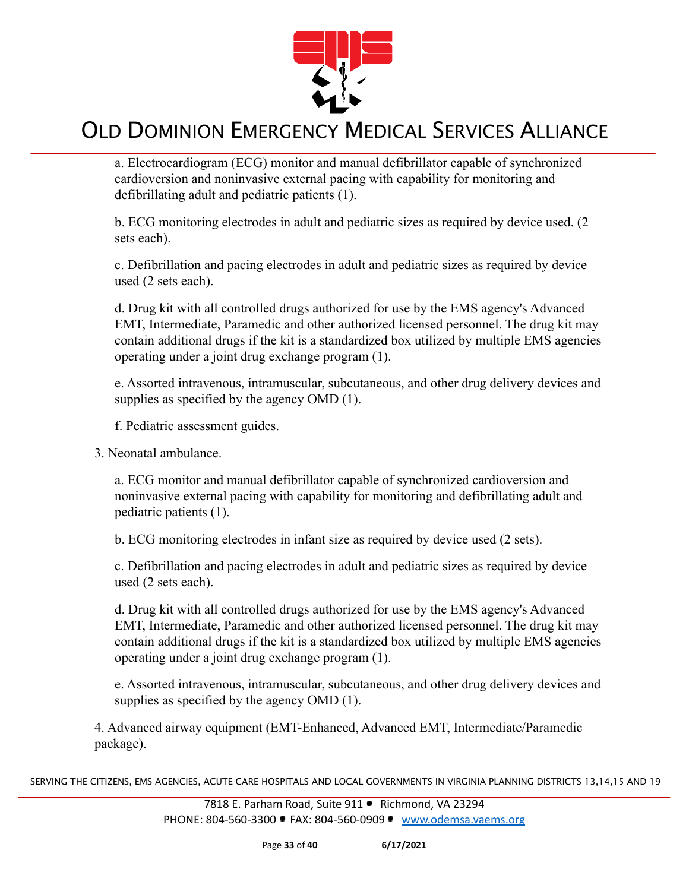![](_page_33_Picture_0.jpeg)

a. Electrocardiogram (ECG) monitor and manual defibrillator capable of synchronized cardioversion and noninvasive external pacing with capability for monitoring and defibrillating adult and pediatric patients (1).

b. ECG monitoring electrodes in adult and pediatric sizes as required by device used. (2 sets each).

c. Defibrillation and pacing electrodes in adult and pediatric sizes as required by device used (2 sets each).

d. Drug kit with all controlled drugs authorized for use by the EMS agency's Advanced EMT, Intermediate, Paramedic and other authorized licensed personnel. The drug kit may contain additional drugs if the kit is a standardized box utilized by multiple EMS agencies operating under a joint drug exchange program (1).

e. Assorted intravenous, intramuscular, subcutaneous, and other drug delivery devices and supplies as specified by the agency OMD  $(1)$ .

f. Pediatric assessment guides.

3. Neonatal ambulance.

a. ECG monitor and manual defibrillator capable of synchronized cardioversion and noninvasive external pacing with capability for monitoring and defibrillating adult and pediatric patients (1).

b. ECG monitoring electrodes in infant size as required by device used (2 sets).

c. Defibrillation and pacing electrodes in adult and pediatric sizes as required by device used (2 sets each).

d. Drug kit with all controlled drugs authorized for use by the EMS agency's Advanced EMT, Intermediate, Paramedic and other authorized licensed personnel. The drug kit may contain additional drugs if the kit is a standardized box utilized by multiple EMS agencies operating under a joint drug exchange program (1).

e. Assorted intravenous, intramuscular, subcutaneous, and other drug delivery devices and supplies as specified by the agency OMD (1).

4. Advanced airway equipment (EMT-Enhanced, Advanced EMT, Intermediate/Paramedic package).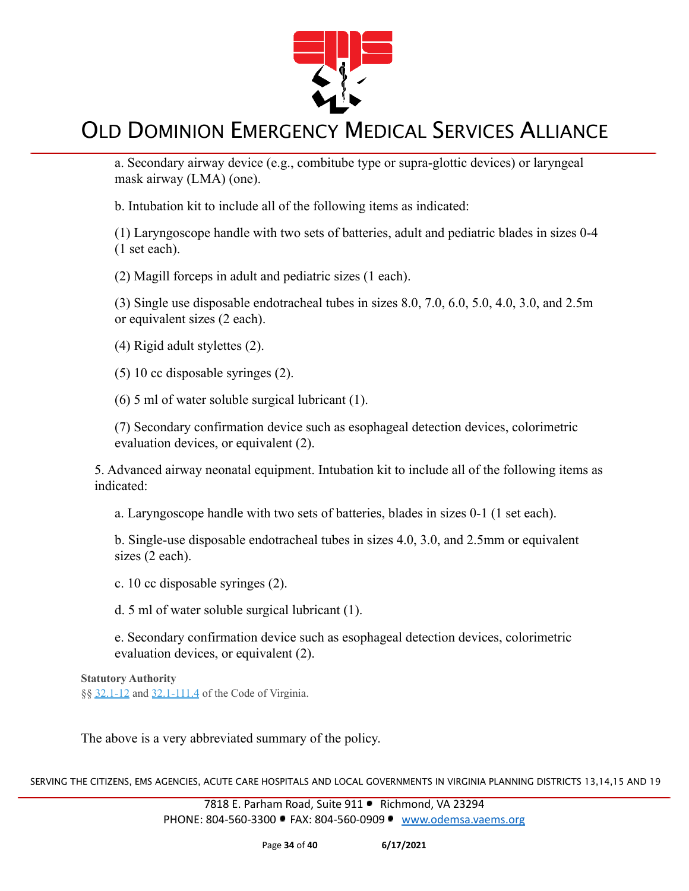![](_page_34_Picture_0.jpeg)

a. Secondary airway device (e.g., combitube type or supra-glottic devices) or laryngeal mask airway (LMA) (one).

b. Intubation kit to include all of the following items as indicated:

(1) Laryngoscope handle with two sets of batteries, adult and pediatric blades in sizes 0-4 (1 set each).

(2) Magill forceps in adult and pediatric sizes (1 each).

(3) Single use disposable endotracheal tubes in sizes 8.0, 7.0, 6.0, 5.0, 4.0, 3.0, and 2.5m or equivalent sizes (2 each).

(4) Rigid adult stylettes (2).

(5) 10 cc disposable syringes (2).

(6) 5 ml of water soluble surgical lubricant (1).

(7) Secondary confirmation device such as esophageal detection devices, colorimetric evaluation devices, or equivalent (2).

5. Advanced airway neonatal equipment. Intubation kit to include all of the following items as indicated:

a. Laryngoscope handle with two sets of batteries, blades in sizes 0-1 (1 set each).

b. Single-use disposable endotracheal tubes in sizes 4.0, 3.0, and 2.5mm or equivalent sizes (2 each).

c. 10 cc disposable syringes (2).

d. 5 ml of water soluble surgical lubricant (1).

e. Secondary confirmation device such as esophageal detection devices, colorimetric evaluation devices, or equivalent (2).

**Statutory Authority** §§ [32.1-12](https://law.lis.virginia.gov/vacode/32.1-12/) and [32.1-111.4](https://law.lis.virginia.gov/vacode/32.1-111.4/) of the Code of Virginia.

The above is a very abbreviated summary of the policy.

SERVING THE CITIZENS, EMS AGENCIES, ACUTE CARE HOSPITALS AND LOCAL GOVERNMENTS IN VIRGINIA PLANNING DISTRICTS 13,14,15 AND 19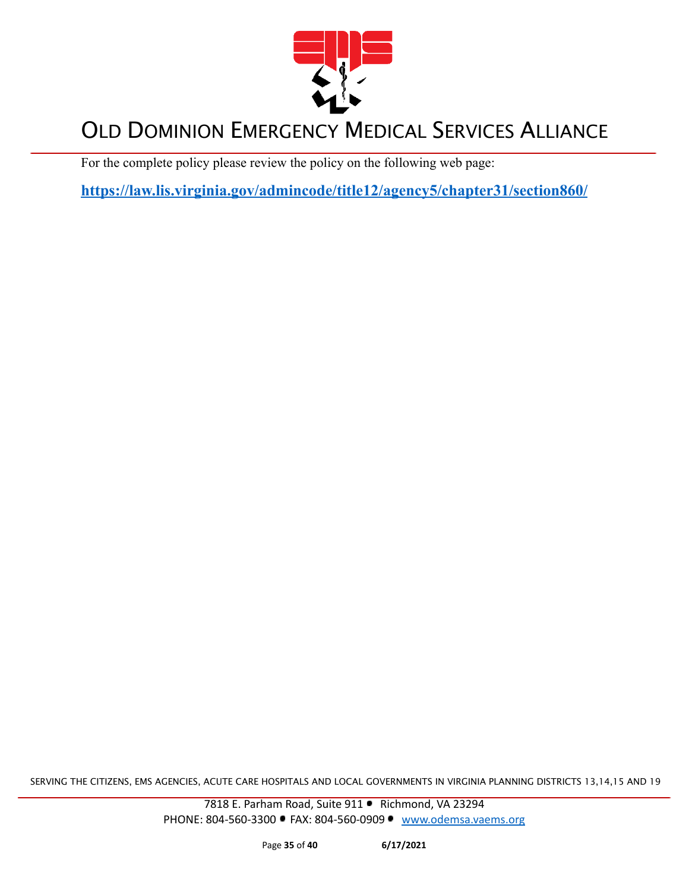![](_page_35_Picture_0.jpeg)

For the complete policy please review the policy on the following web page:

**<https://law.lis.virginia.gov/admincode/title12/agency5/chapter31/section860/>**

SERVING THE CITIZENS, EMS AGENCIES, ACUTE CARE HOSPITALS AND LOCAL GOVERNMENTS IN VIRGINIA PLANNING DISTRICTS 13,14,15 AND 19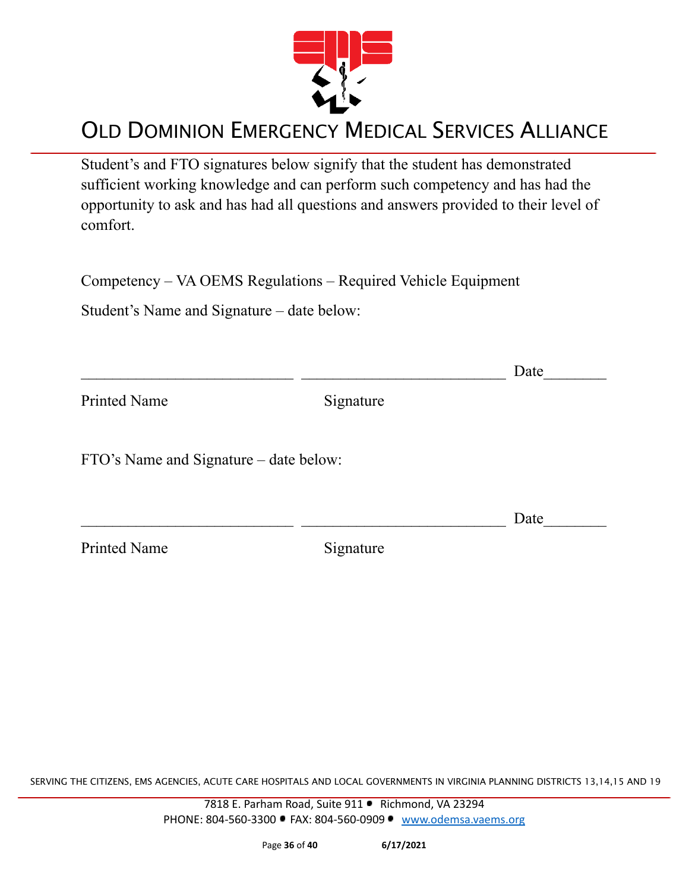![](_page_36_Picture_0.jpeg)

Student's and FTO signatures below signify that the student has demonstrated sufficient working knowledge and can perform such competency and has had the opportunity to ask and has had all questions and answers provided to their level of comfort.

Competency – VA OEMS Regulations – Required Vehicle Equipment

Student's Name and Signature – date below:

|                                        |           | Date |
|----------------------------------------|-----------|------|
| <b>Printed Name</b>                    | Signature |      |
| FTO's Name and Signature – date below: |           |      |
|                                        |           | Date |
| <b>Printed Name</b>                    | Signature |      |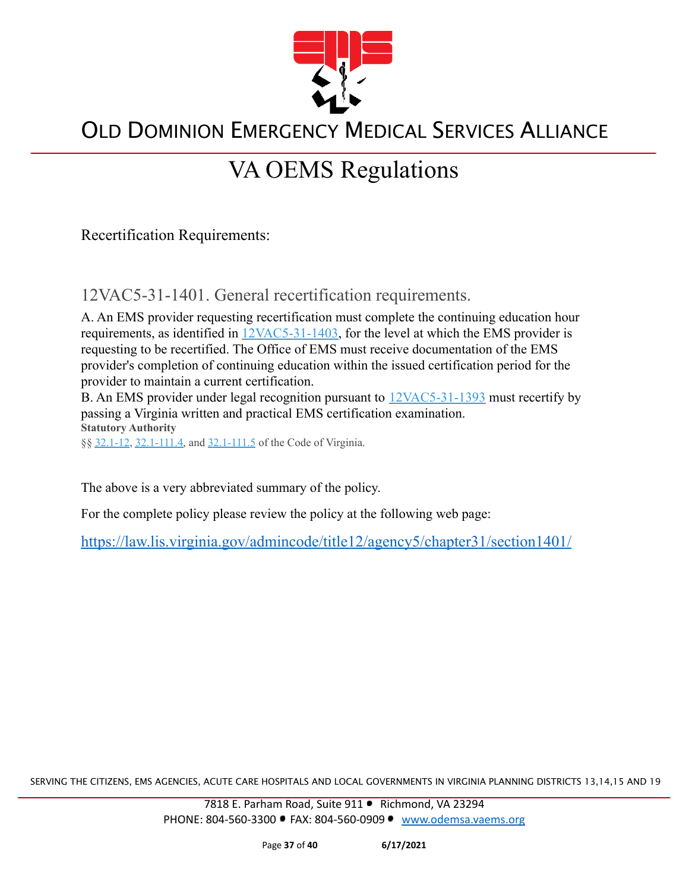![](_page_37_Picture_0.jpeg)

# VA OEMS Regulations

Recertification Requirements:

#### 12VAC5-31-1401. General recertification requirements.

A. An EMS provider requesting recertification must complete the continuing education hour requirements, as identified in [12VAC5-31-1403,](https://law.lis.virginia.gov/admincode/title12/agency5/chapter31/section1403/) for the level at which the EMS provider is requesting to be recertified. The Office of EMS must receive documentation of the EMS provider's completion of continuing education within the issued certification period for the provider to maintain a current certification.

B. An EMS provider under legal recognition pursuant to [12VAC5-31-1393](https://law.lis.virginia.gov/admincode/title12/agency5/chapter31/section1393/) must recertify by passing a Virginia written and practical EMS certification examination. **Statutory Authority**

§§ [32.1-12](https://law.lis.virginia.gov/vacode/32.1-12/), [32.1-111.4,](https://law.lis.virginia.gov/vacode/32.1-111.4/) and [32.1-111.5](https://law.lis.virginia.gov/vacode/32.1-111.5/) of the Code of Virginia.

The above is a very abbreviated summary of the policy.

For the complete policy please review the policy at the following web page:

<https://law.lis.virginia.gov/admincode/title12/agency5/chapter31/section1401/>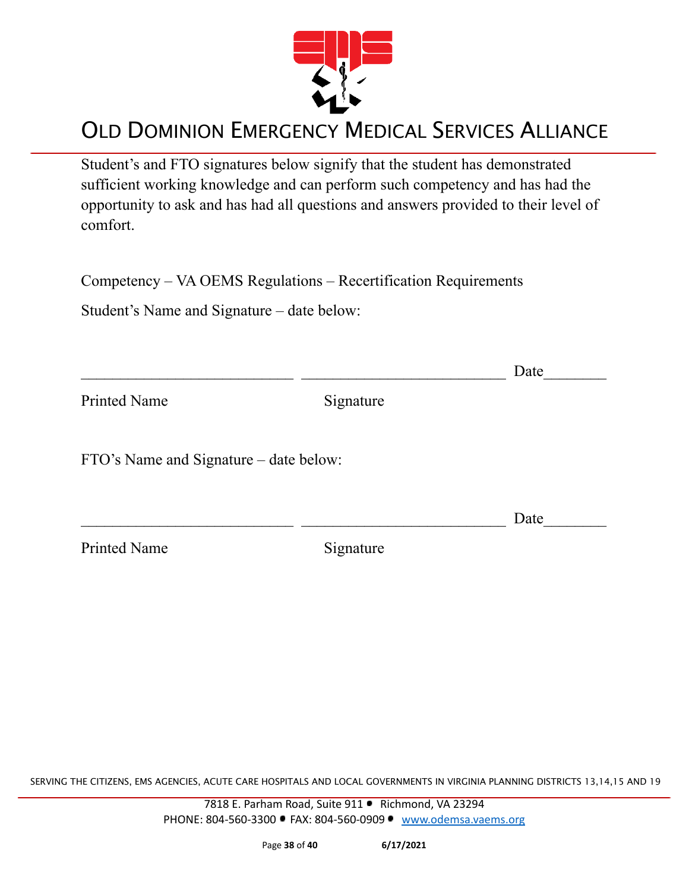![](_page_38_Picture_0.jpeg)

Student's and FTO signatures below signify that the student has demonstrated sufficient working knowledge and can perform such competency and has had the opportunity to ask and has had all questions and answers provided to their level of comfort.

Competency – VA OEMS Regulations – Recertification Requirements

Student's Name and Signature – date below:

|                                        |           | Date |
|----------------------------------------|-----------|------|
| <b>Printed Name</b>                    | Signature |      |
| FTO's Name and Signature – date below: |           |      |
|                                        |           | Date |
| <b>Printed Name</b>                    | Signature |      |